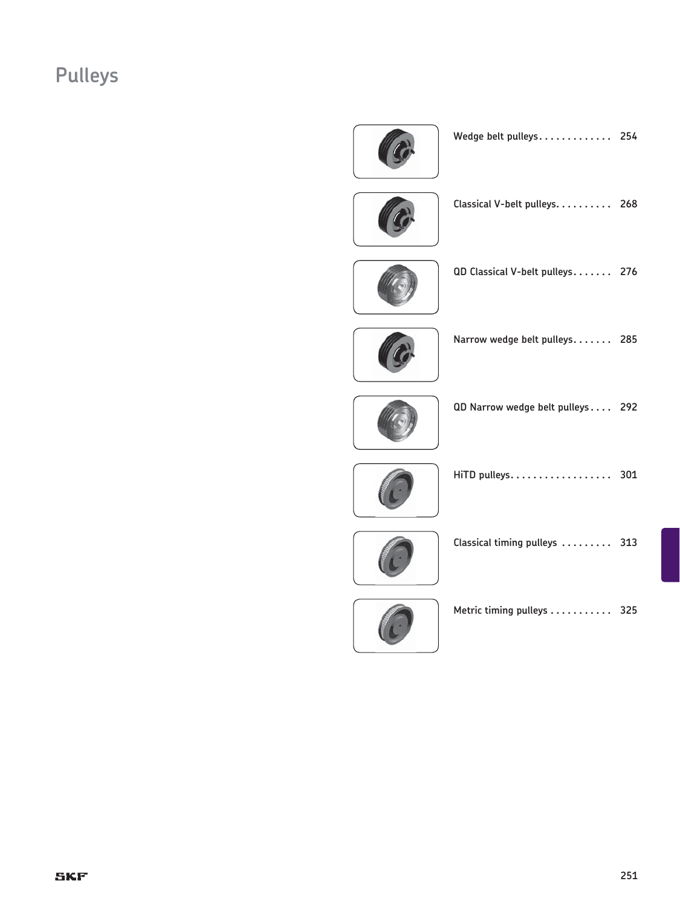# **Pulleys**



| Wedge belt pulleys |  |  |  |  |  |  |  |  |  |  |  |  |  | 254 |
|--------------------|--|--|--|--|--|--|--|--|--|--|--|--|--|-----|
|--------------------|--|--|--|--|--|--|--|--|--|--|--|--|--|-----|



**Classical V-belt pulleys . . . . . . . . . . 268**



**QD Classical V-belt pulleys . . . . . . . 276**



**Narrow wedge belt pulleys . . . . . . . 285**



**QD Narrow wedge belt pulleys . . . . 292**



**sb HiTD pulleys . . . . . . . . . . . . . . . . . . sb 301**



| Classical timing pulleys $\ldots \ldots \ldots$ |  |  |  |  |  | 313 |
|-------------------------------------------------|--|--|--|--|--|-----|
|                                                 |  |  |  |  |  |     |



**sb Metric timing pulleys . . . . . . . . . . . sb 325**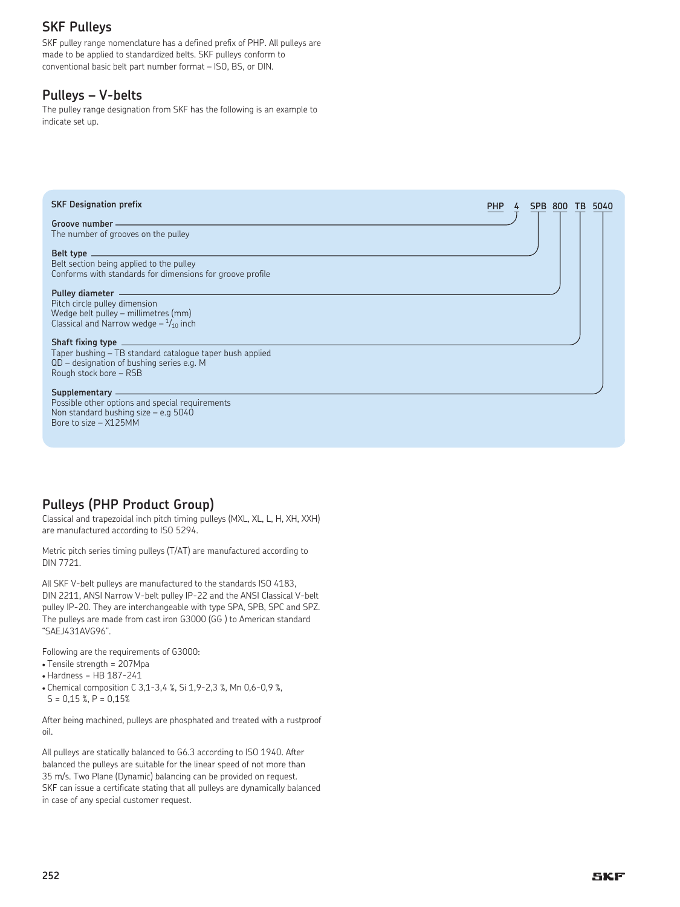# **SKF Pulleys**

SKF pulley range nomenclature has a defined prefix of PHP. All pulleys are made to be applied to standardized belts. SKF pulleys conform to conventional basic belt part number format – ISO, BS, or DIN.

# **Pulleys – V-belts**

The pulley range designation from SKF has the following is an example to indicate set up.

| <b>SKF Designation prefix</b>                                                                                                                                                                                                                                                                                                                            | <b>PHP</b> | <b>SPB 800</b><br>5040<br>ΤВ |
|----------------------------------------------------------------------------------------------------------------------------------------------------------------------------------------------------------------------------------------------------------------------------------------------------------------------------------------------------------|------------|------------------------------|
| Groove number -<br>The number of grooves on the pulley                                                                                                                                                                                                                                                                                                   |            |                              |
| Belt type<br>Belt section being applied to the pulley<br>Conforms with standards for dimensions for groove profile                                                                                                                                                                                                                                       |            |                              |
| Pulley diameter —————————————————<br>Pitch circle pulley dimension<br>Wedge belt pulley - millimetres (mm)<br>Classical and Narrow wedge $-1/10$ inch                                                                                                                                                                                                    |            |                              |
| Taper bushing - TB standard catalogue taper bush applied<br>$QD$ – designation of bushing series e.g. M<br>Rough stock bore - RSB                                                                                                                                                                                                                        |            |                              |
| Supplementary <b>expression of the contract of the contract of the contract of the contract of the contract of the contract of the contract of the contract of the contract of the contract of the contract of the contract of t</b><br>Possible other options and special requirements<br>Non standard bushing size - e.g 5040<br>Bore to size - X125MM |            |                              |

# **Pulleys (PHP Product Group)**

Classical and trapezoidal inch pitch timing pulleys (MXL, XL, L, H, XH, XXH) are manufactured according to ISO 5294.

Metric pitch series timing pulleys (T/AT) are manufactured according to DIN 7721.

All SKF V-belt pulleys are manufactured to the standards ISO 4183, DIN 2211, ANSI Narrow V-belt pulley IP-22 and the ANSI Classical V-belt pulley IP-20. They are interchangeable with type SPA, SPB, SPC and SPZ. The pulleys are made from cast iron G3000 (GG ) to American standard "SAEJ431AVG96".

Following are the requirements of G3000:

- Tensile strength = 207Mpa
- Hardness = HB 187-241
- Chemical composition C 3,1-3,4 %, Si 1,9-2,3 %, Mn 0,6-0,9 %,  $S = 0,15$  %,  $P = 0,15$ %

After being machined, pulleys are phosphated and treated with a rustproof oil.

All pulleys are statically balanced to G6.3 according to ISO 1940. After balanced the pulleys are suitable for the linear speed of not more than 35 m/s. Two Plane (Dynamic) balancing can be provided on request. SKF can issue a certificate stating that all pulleys are dynamically balanced in case of any special customer request.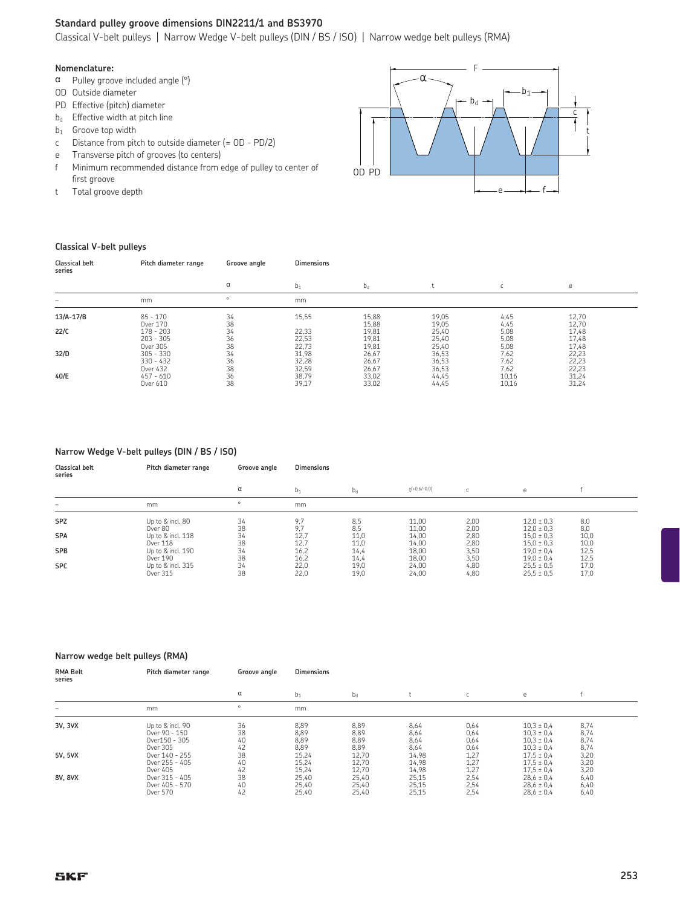#### **Standard pulley groove dimensions DIN2211/1 and BS3970**

Classical V-belt pulleys | Narrow Wedge V-belt pulleys (DIN / BS / ISO) | Narrow wedge belt pulleys (RMA)

#### **Nomenclature:**

- $\alpha$  Pulley groove included angle ( $\circ$ )
- OD Outside diameter
- PD Effective (pitch) diameter
- $b_d$  Effective width at pitch line
- $b_1$  Groove top width
- c Distance from pitch to outside diameter (= OD PD/2)
- e Transverse pitch of grooves (to centers)
- f Minimum recommended distance from edge of pulley to center of first groove
- t Total groove depth



#### **Classical V-belt pulleys**

| <b>Classical belt</b><br>series | Pitch diameter range                   | Groove angle             | <b>Dimensions</b>       |                         |                         |                      |                         |
|---------------------------------|----------------------------------------|--------------------------|-------------------------|-------------------------|-------------------------|----------------------|-------------------------|
|                                 |                                        | α                        | $b_1$                   | $b_d$                   |                         |                      | e                       |
| -                               | mm                                     | $\circ$                  | mm                      |                         |                         |                      |                         |
| $13/A-17/B$                     | $85 - 170$<br>Over 170                 | 34<br>38                 | 15,55                   | 15,88<br>15,88          | 19,05<br>19,05          | 4,45<br>4,45         | 12,70<br>12,70          |
| 22/C                            | $178 - 203$<br>$203 - 305$<br>Over 305 | 34<br>36                 | 22,33<br>22,53<br>22,73 | 19,81<br>19,81<br>19,81 | 25,40<br>25,40<br>25,40 | 5,08<br>5,08<br>5,08 | 17,48<br>17,48<br>17,48 |
| 32/D                            | $305 - 330$<br>$330 - 432$<br>Over 432 | $38$<br>$34$<br>36<br>38 | 31,98<br>32,28<br>32,59 | 26,67<br>26,67<br>26,67 | 36,53<br>36,53<br>36,53 | 7,62<br>7,62<br>7,62 | 22,23<br>22,23<br>22,23 |
| 40/E                            | $457 - 610$<br>Over 610                | 36<br>38                 | 38,79<br>39,17          | 33,02<br>33,02          | 44,45<br>44,45          | 10,16<br>10,16       | 31,24<br>31,24          |

#### **Narrow Wedge V-belt pulleys (DIN / BS / ISO)**

**Classical belt Pitch diameter range Groove angle Dimensions series**

|            |                   | α  | b1   | $D_d$ | $+(+0.6/-0.0)$ |      |                |      |
|------------|-------------------|----|------|-------|----------------|------|----------------|------|
|            | mm                |    | mm   |       |                |      |                |      |
| <b>SPZ</b> | Up to & incl. 80  | 34 | 9.7  | 8,5   | 11,00          | 2,00 | $12.0 \pm 0.3$ | 8,0  |
|            | Over 80           | 38 | ο.   | 8,5   | 11,00          | 2,00 | $12.0 \pm 0.3$ | 8,0  |
| <b>SPA</b> | Up to & incl. 118 | 34 | 12,7 | 11,0  | 14,00          | 2,80 | $15.0 \pm 0.3$ | 10,0 |
|            | Over 118          | 38 | 12,7 | 11,0  | 14,00          | 2,80 | $15.0 \pm 0.3$ | 10,0 |
| <b>SPB</b> | Up to & incl. 190 | 34 | 16,2 | 14,4  | 18,00          | 3,50 | $19.0 \pm 0.4$ | 12,5 |
|            | Over 190          | 38 | 16,2 | 14,4  | 18,00          | 3,50 | $19.0 \pm 0.4$ | 12,5 |
| <b>SPC</b> | Up to & incl. 315 | 34 | 22.0 | 19,0  | 24,00          | 4,80 | $25.5 \pm 0.5$ | 17,0 |
|            | Over 315          | 38 | 22,0 | 19,0  | 24,00          | 4,80 | $25.5 \pm 0.5$ | 17,0 |

#### **Narrow wedge belt pulleys (RMA)**

| <b>RMA Belt</b><br>series | Pitch diameter range                                           | Groove angle         | <b>Dimensions</b>            |                              |                              |                              |                                                                      |                              |  |
|---------------------------|----------------------------------------------------------------|----------------------|------------------------------|------------------------------|------------------------------|------------------------------|----------------------------------------------------------------------|------------------------------|--|
|                           |                                                                | α                    | $b_1$                        | $b_d$                        |                              |                              | е                                                                    |                              |  |
|                           | mm                                                             | $\circ$              | mm                           |                              |                              |                              |                                                                      |                              |  |
| 3V, 3VX                   | Up to & incl. 90<br>Over 90 - 150<br>Over150 - 305<br>Over 305 | 36<br>38<br>40<br>42 | 8,89<br>8,89<br>8,89<br>8,89 | 8,89<br>8,89<br>8,89<br>8,89 | 8,64<br>8,64<br>8,64<br>8,64 | 0,64<br>0,64<br>0,64<br>0,64 | $10.3 \pm 0.4$<br>$10.3 \pm 0.4$<br>$10.3 \pm 0.4$<br>$10.3 \pm 0.4$ | 8,74<br>8,74<br>8,74<br>8,74 |  |
| 5V, 5VX                   | Over 140 - 255<br>Over 255 - 405<br>Over 405                   | 38<br>40<br>42       | 15,24<br>15,24<br>15,24      | 12,70<br>12,70<br>12,70      | 14,98<br>14,98<br>14,98      | 1,27<br>1,27<br>1,27         | $17.5 \pm 0.4$<br>$17.5 \pm 0.4$<br>$17.5 \pm 0.4$                   | 3,20<br>3,20<br>3,20         |  |
| 8V, 8VX                   | Over 315 - 405<br>Over 405 - 570<br>Over 570                   | 38<br>40<br>42       | 25,40<br>25,40<br>25,40      | 25,40<br>25,40<br>25,40      | 25,15<br>25,15<br>25,15      | 2,54<br>2,54<br>2,54         | $28,6 \pm 0,4$<br>$28,6 \pm 0,4$<br>$28,6 \pm 0,4$                   | 6,40<br>6,40<br>6,40         |  |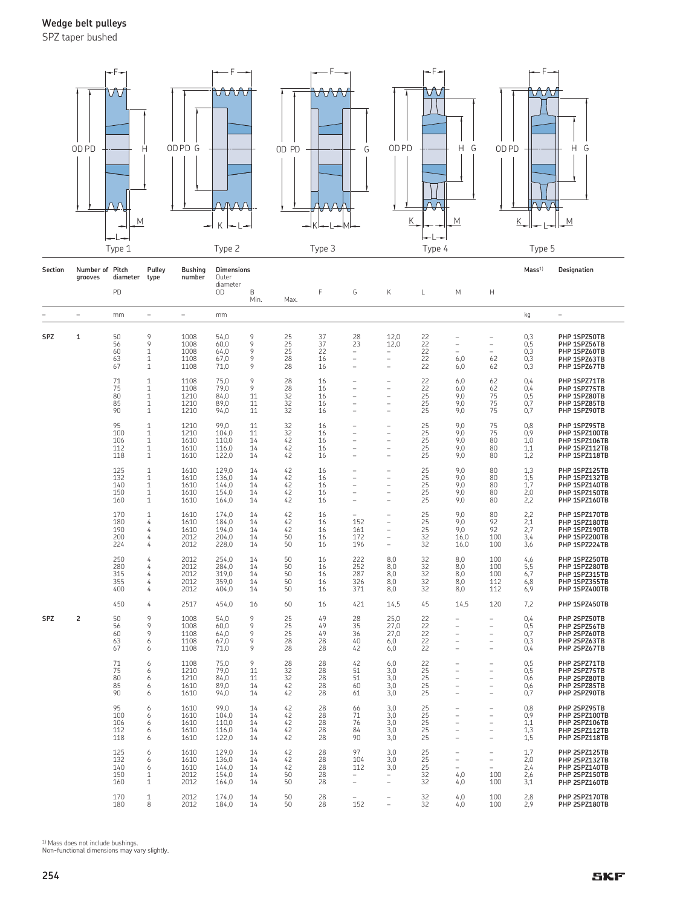SPZ taper bushed



| Section    | Number of Pitch<br>grooves | diameter                        | Pulley<br>type                                                               | <b>Bushing</b><br>number             | <b>Dimensions</b><br>Outer                |                            |                            |                            |                                                   |                                                    |                                   |                                   |                                                                             | Mass <sup>1</sup>               | Designation                                                                       |
|------------|----------------------------|---------------------------------|------------------------------------------------------------------------------|--------------------------------------|-------------------------------------------|----------------------------|----------------------------|----------------------------|---------------------------------------------------|----------------------------------------------------|-----------------------------------|-----------------------------------|-----------------------------------------------------------------------------|---------------------------------|-----------------------------------------------------------------------------------|
|            |                            | PD                              |                                                                              |                                      | diameter<br>OD                            | B<br>Min.                  | Max.                       | F                          | G                                                 | Κ                                                  | L                                 | M                                 | H                                                                           |                                 |                                                                                   |
|            | ÷,                         | mm                              | $\overline{\phantom{0}}$                                                     | L,                                   | mm                                        |                            |                            |                            |                                                   |                                                    |                                   |                                   |                                                                             | kg                              | ÷,                                                                                |
| <b>SPZ</b> | 1                          | 50<br>56<br>60<br>63<br>67      | 9<br>9<br>1<br>1<br>1                                                        | 1008<br>1008<br>1008<br>1108<br>1108 | 54.0<br>60.0<br>64,0<br>67,0<br>71,0      | 9<br>9<br>9<br>9<br>9      | 25<br>25<br>25<br>28<br>28 | 37<br>37<br>22<br>16<br>16 | 28<br>23<br>$\overline{\phantom{a}}$<br>L,<br>L.  | 12.0<br>12.0                                       | $\frac{22}{22}$<br>22<br>22<br>22 | Ĭ.<br>6,0<br>6,0                  | $\overline{\phantom{0}}$<br>$\equiv$<br>62<br>62                            | 0.3<br>0,5<br>0,3<br>0,3<br>0,3 | PHP 1SPZ50TB<br>PHP 1SPZ56TB<br>PHP 1SPZ60TB<br>PHP 1SPZ63TB<br>PHP 1SPZ67TB      |
|            |                            | 71<br>75<br>80<br>85<br>90      | 1<br>$\mathbf{1}$<br>$\mathbf 1$<br>$\mathbf{1}$<br>$\mathbf{1}$             | 1108<br>1108<br>1210<br>1210<br>1210 | 75,0<br>79,0<br>84,0<br>89,0<br>94,0      | 9<br>9<br>11<br>11<br>11   | 28<br>28<br>32<br>32<br>32 | 16<br>16<br>16<br>16<br>16 | L.<br>$\equiv$<br>L,<br>$\equiv$<br>۳             | ۰<br>۳                                             | 22<br>22<br>25<br>25<br>25        | 6,0<br>6,0<br>9,0<br>9,0<br>9,0   | 62<br>62<br>75<br>75<br>75                                                  | 0,4<br>0,4<br>0,5<br>0,7<br>0,7 | PHP 1SPZ71TB<br>PHP 1SPZ75TB<br>PHP 1SPZ80TB<br>PHP 1SPZ85TB<br>PHP 1SPZ90TB      |
|            |                            | 95<br>100<br>106<br>112<br>118  | 1<br>$\mathbf{1}$<br>$\mathbf{1}$<br>$\mathbf{1}$<br>$\mathbf{1}$            | 1210<br>1210<br>1610<br>1610<br>1610 | 99,0<br>104,0<br>110,0<br>116,0<br>122,0  | 11<br>11<br>14<br>14<br>14 | 32<br>32<br>42<br>42<br>42 | 16<br>16<br>16<br>16<br>16 | $\equiv$<br>$\equiv$<br>L.                        | ۰<br>۳                                             | 25<br>25<br>25<br>25<br>25        | 9,0<br>9,0<br>9.0<br>9.0<br>9,0   | 75<br>75<br>80<br>80<br>80                                                  | 0,8<br>0,9<br>1,0<br>1,1<br>1,2 | PHP 1SPZ95TB<br>PHP 1SPZ100TB<br>PHP 1SPZ106TB<br>PHP 1SPZ112TB<br>PHP 1SPZ118TB  |
|            |                            | 125<br>132<br>140<br>150<br>160 | $\mathbf{1}$<br>$\mathbf{1}$<br>$\mathbf{1}$<br>$\mathbf{1}$<br>$\mathbf{1}$ | 1610<br>1610<br>1610<br>1610<br>1610 | 129,0<br>136,0<br>144,0<br>154,0<br>164,0 | 14<br>14<br>14<br>14<br>14 | 42<br>42<br>42<br>42<br>42 | 16<br>16<br>16<br>16<br>16 | L.<br>L.<br>÷                                     | ۳                                                  | 25<br>25<br>25<br>25<br>25        | 9,0<br>9,0<br>9,0<br>9,0<br>9,0   | 80<br>80<br>80<br>80<br>80                                                  | 1,3<br>1,5<br>1,7<br>2,0<br>2,2 | PHP 1SPZ125TB<br>PHP 1SPZ132TB<br>PHP 1SPZ140TB<br>PHP 1SPZ150TB<br>PHP 1SPZ160TB |
|            |                            | 170<br>180<br>190<br>200<br>224 | $\mathbf{1}$<br>4<br>4<br>4<br>4                                             | 1610<br>1610<br>1610<br>2012<br>2012 | 174,0<br>184,0<br>194,0<br>204,0<br>228,0 | 14<br>14<br>14<br>14<br>14 | 42<br>42<br>42<br>50<br>50 | 16<br>16<br>16<br>16<br>16 | 152<br>161<br>172<br>196                          | ۳<br>÷                                             | 25<br>25<br>25<br>32<br>32        | 9,0<br>9.0<br>9.0<br>16,0<br>16,0 | 80<br>92<br>92<br>100<br>100                                                | 2,2<br>2,1<br>2,7<br>3,4<br>3,6 | PHP 1SPZ170TB<br>PHP 1SPZ180TB<br>PHP 1SPZ190TB<br>PHP 1SPZ200TB<br>PHP 1SPZ224TB |
|            |                            | 250<br>280<br>315<br>355<br>400 | 4<br>4<br>4<br>4<br>4                                                        | 2012<br>2012<br>2012<br>2012<br>2012 | 254,0<br>284,0<br>319,0<br>359,0<br>404,0 | 14<br>14<br>14<br>14<br>14 | 50<br>50<br>50<br>50<br>50 | 16<br>16<br>16<br>16<br>16 | 222<br>252<br>287<br>326<br>371                   | 8.0<br>8,0<br>8,0<br>8,0<br>8,0                    | 32<br>32<br>32<br>32<br>32        | 8,0<br>8,0<br>8,0<br>8,0<br>8,0   | 100<br>100<br>100<br>112<br>112                                             | 4,6<br>5,5<br>6,7<br>6,8<br>6,9 | PHP 1SPZ250TB<br>PHP 1SPZ280TB<br>PHP 1SPZ315TB<br>PHP 1SPZ355TB<br>PHP 1SPZ400TB |
|            |                            | 450                             | 4                                                                            | 2517                                 | 454,0                                     | 16                         | 60                         | 16                         | 421                                               | 14,5                                               | 45                                | 14,5                              | 120                                                                         | 7,2                             | PHP 1SPZ450TB                                                                     |
| <b>SPZ</b> | 2                          | 50<br>56<br>60<br>63<br>67      | 9<br>9<br>9<br>6<br>6                                                        | 1008<br>1008<br>1108<br>1108<br>1108 | 54,0<br>60,0<br>64,0<br>67,0<br>71,0      | 9<br>9<br>9<br>9<br>9      | 25<br>25<br>25<br>28<br>28 | 49<br>49<br>49<br>28<br>28 | 28<br>35<br>36<br>40<br>42                        | 25,0<br>27,0<br>27,0<br>6,0<br>6,0                 | 22<br>22<br>22<br>22<br>22        | ۳<br>L,<br>Ĭ.<br>÷                | $\equiv$<br>$\equiv$<br>$\equiv$                                            | 0,4<br>0,5<br>0,7<br>0,3<br>0,4 | PHP 2SPZ50TB<br>PHP 2SPZ56TB<br>PHP 2SPZ60TB<br>PHP 2SPZ63TB<br>PHP 2SPZ67TB      |
|            |                            | 71<br>75<br>80<br>85<br>90      | 6<br>6<br>6<br>6<br>6                                                        | 1108<br>1210<br>1210<br>1610<br>1610 | 75,0<br>79,0<br>84,0<br>89,0<br>94,0      | 9<br>11<br>11<br>14<br>14  | 28<br>32<br>32<br>42<br>42 | 28<br>28<br>28<br>28<br>28 | 42<br>51<br>51<br>60<br>61                        | 6,0<br>3,0<br>3,0<br>3,0<br>3,0                    | 22<br>25<br>25<br>25<br>25        | ۳<br>L,<br>L,<br>۳                | ٠<br>$\overline{\phantom{a}}$<br>$\overline{\phantom{0}}$<br>$\equiv$<br>÷, | 0,5<br>0,5<br>0,6<br>0,6<br>0,7 | PHP 2SPZ71TB<br>PHP 2SPZ75TB<br>PHP 2SPZ80TB<br>PHP 2SPZ85TB<br>PHP 2SPZ90TB      |
|            |                            | 95<br>100<br>106<br>112<br>118  | 6<br>6<br>6<br>6<br>6                                                        | 1610<br>1610<br>1610<br>1610<br>1610 | 99,0<br>104,0<br>110.0<br>116,0<br>122,0  | 14<br>14<br>14<br>14<br>14 | 42<br>42<br>42<br>42<br>42 | 28<br>28<br>28<br>28<br>28 | 66<br>71<br>76<br>84<br>90                        | 3,0<br>3,0<br>3.0<br>3.0<br>3,0                    | 25<br>25<br>25<br>25<br>25        | Ĭ.<br>Ĭ.<br>L,                    | L,<br>$\overline{\phantom{0}}$<br>$\overline{\phantom{0}}$                  | 0,8<br>0,9<br>1,1<br>1,3<br>1,5 | PHP 2SPZ95TB<br>PHP 2SPZ100TB<br>PHP 2SPZ106TB<br>PHP 2SPZ112TB<br>PHP 2SPZ118TB  |
|            |                            | 125<br>132<br>140<br>150<br>160 | 6<br>6<br>6<br>1<br>$\mathbf{1}$                                             | 1610<br>1610<br>1610<br>2012<br>2012 | 129,0<br>136,0<br>144,0<br>154,0<br>164,0 | 14<br>14<br>14<br>14<br>14 | 42<br>42<br>42<br>50<br>50 | 28<br>28<br>28<br>28<br>28 | 97<br>104<br>112<br>$\overline{\phantom{0}}$<br>۳ | 3,0<br>3,0<br>3,0<br>$\overline{\phantom{0}}$<br>۳ | 25<br>25<br>25<br>32<br>32        | ۰<br>÷,<br>۳<br>4,0<br>4,0        | $\overline{\phantom{0}}$<br>$\overline{\phantom{0}}$<br>100<br>100          | 1,7<br>2,0<br>2,4<br>2,6<br>3,1 | PHP 2SPZ125TB<br>PHP 2SPZ132TB<br>PHP 2SPZ140TB<br>PHP 2SPZ150TB<br>PHP 2SPZ160TB |
|            |                            | 170<br>180                      | 1<br>8                                                                       | 2012<br>2012                         | 174,0<br>184,0                            | 14<br>14                   | 50<br>50                   | 28<br>28                   | 152                                               |                                                    | 32<br>32                          | 4,0<br>4.0                        | 100<br>100                                                                  | 2,8<br>2.9                      | PHP 2SPZ170TB<br>PHP 2SPZ180TB                                                    |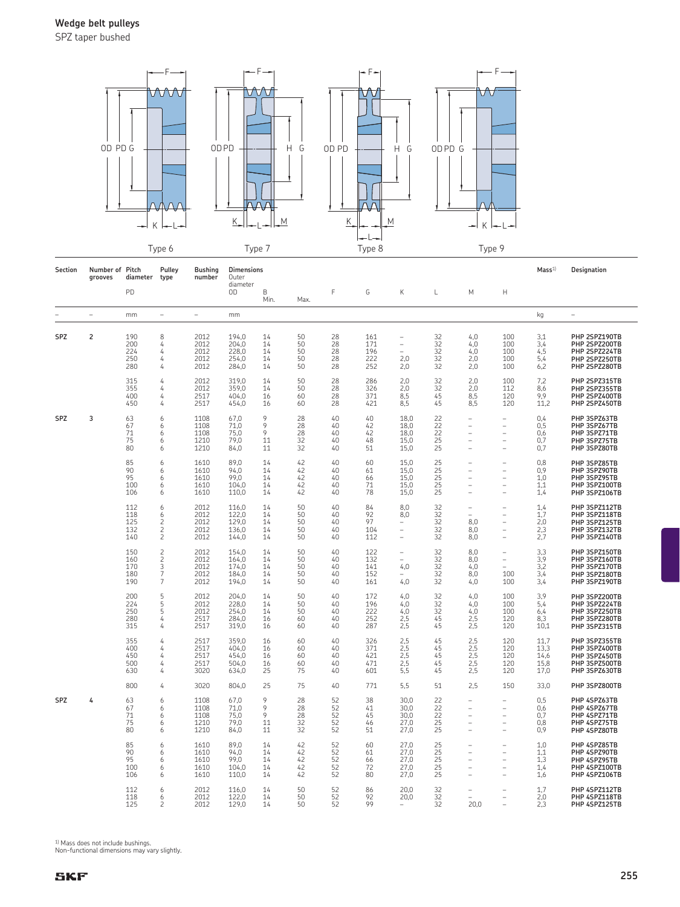SPZ taper bushed



| Section | Number of Pitch<br>grooves | diameter                        | Pulley<br>type                                               | <b>Bushing</b><br>number             | <b>Dimensions</b><br>Outer                |                            |                            |                            |                                 |                                             |                            |                                                                                            |                                                                                              | Mass <sup>1</sup>                    | Designation                                                                       |
|---------|----------------------------|---------------------------------|--------------------------------------------------------------|--------------------------------------|-------------------------------------------|----------------------------|----------------------------|----------------------------|---------------------------------|---------------------------------------------|----------------------------|--------------------------------------------------------------------------------------------|----------------------------------------------------------------------------------------------|--------------------------------------|-----------------------------------------------------------------------------------|
|         |                            | PD                              |                                                              |                                      | diameter<br>OD                            | B<br>Min.                  | Max.                       | F                          | G                               | Κ                                           | L                          | M                                                                                          | Н                                                                                            |                                      |                                                                                   |
|         | $\overline{a}$             | mm                              | $\overline{\phantom{a}}$                                     | $\overline{\phantom{0}}$             | mm                                        |                            |                            |                            |                                 |                                             |                            |                                                                                            |                                                                                              | kg                                   | $\overline{\phantom{0}}$                                                          |
| SPZ     | 2                          | 190<br>200<br>224<br>250<br>280 | 8<br>4<br>4<br>4<br>4                                        | 2012<br>2012<br>2012<br>2012<br>2012 | 194,0<br>204,0<br>228,0<br>254,0<br>284,0 | 14<br>14<br>14<br>14<br>14 | 50<br>50<br>50<br>50<br>50 | 28<br>28<br>28<br>28<br>28 | 161<br>171<br>196<br>222<br>252 | $\overline{\phantom{0}}$<br>2,0<br>2,0      | 32<br>32<br>32<br>32<br>32 | 4,0<br>4,0<br>4,0<br>2,0<br>2,0                                                            | 100<br>100<br>100<br>100<br>100                                                              | 3,1<br>3,4<br>4,5<br>5,4<br>6,2      | PHP 2SPZ190TB<br>PHP 2SPZ200TB<br>PHP 2SPZ224TB<br>PHP 2SPZ250TB<br>PHP 2SPZ280TB |
|         |                            | 315<br>355<br>400<br>450        | 4<br>4<br>4<br>4                                             | 2012<br>2012<br>2517<br>2517         | 319,0<br>359,0<br>404,0<br>454,0          | 14<br>14<br>16<br>16       | 50<br>50<br>60<br>60       | 28<br>28<br>28<br>28       | 286<br>326<br>371<br>421        | 2,0<br>2,0<br>8.5<br>8.5                    | 32<br>32<br>45<br>45       | 2,0<br>2,0<br>8.5<br>8.5                                                                   | 100<br>112<br>120<br>120                                                                     | 7,2<br>8,6<br>9.9<br>11.2            | PHP 2SPZ315TB<br>PHP 2SPZ355TB<br>PHP 2SPZ400TB<br>PHP 2SPZ450TB                  |
| SPZ     | 3                          | 63<br>67<br>71<br>75<br>80      | 6<br>6<br>6<br>6<br>6                                        | 1108<br>1108<br>1108<br>1210<br>1210 | 67,0<br>71,0<br>75,0<br>79,0<br>84,0      | 9<br>9<br>9<br>11<br>11    | 28<br>28<br>28<br>32<br>32 | 40<br>40<br>40<br>40<br>40 | 40<br>42<br>42<br>48<br>51      | 18.0<br>18.0<br>18.0<br>15.0<br>15,0        | 22<br>22<br>22<br>25<br>25 | $\overline{\phantom{0}}$<br>L,<br>L,<br>÷                                                  | $\overline{\phantom{0}}$<br>$\overline{a}$<br>$\overline{a}$<br>$\overline{\phantom{0}}$     | 0,4<br>0,5<br>0,6<br>0,7<br>0,7      | PHP 3SPZ63TB<br>PHP 3SPZ67TB<br>PHP 3SPZ71TB<br>PHP 3SPZ75TB<br>PHP 3SPZ80TB      |
|         |                            | 85<br>90<br>95<br>100<br>106    | 6<br>6<br>6<br>6<br>6                                        | 1610<br>1610<br>1610<br>1610<br>1610 | 89,0<br>94,0<br>99,0<br>104,0<br>110,0    | 14<br>14<br>14<br>14<br>14 | 42<br>42<br>42<br>42<br>42 | 40<br>40<br>40<br>40<br>40 | 60<br>61<br>66<br>71<br>78      | 15,0<br>15,0<br>15,0<br>15,0<br>15,0        | 25<br>25<br>25<br>25<br>25 | $\overline{\phantom{a}}$<br>÷<br>$\overline{\phantom{a}}$<br>$\overline{\phantom{a}}$<br>÷ | $\overline{\phantom{0}}$<br>$\overline{\phantom{0}}$<br>L,<br>$\overline{\phantom{0}}$<br>L, | 0,8<br>0,9<br>1,0<br>1,1<br>1,4      | PHP 3SPZ85TB<br>PHP 3SPZ90TB<br>PHP 3SPZ95TB<br>PHP 3SPZ100TB<br>PHP 3SPZ106TB    |
|         |                            | 112<br>118<br>125<br>132<br>140 | 6<br>6<br>$\overline{c}$<br>$\overline{c}$<br>$\overline{c}$ | 2012<br>2012<br>2012<br>2012<br>2012 | 116,0<br>122,0<br>129,0<br>136,0<br>144,0 | 14<br>14<br>14<br>14<br>14 | 50<br>50<br>50<br>50<br>50 | 40<br>40<br>40<br>40<br>40 | 84<br>92<br>97<br>104<br>112    | 8,0<br>8,0<br>$\overline{\phantom{0}}$<br>۳ | 32<br>32<br>32<br>32<br>32 | ÷<br>$\equiv$<br>8,0<br>8,0<br>8,0                                                         | L,<br>$\equiv$<br>$\overline{\phantom{0}}$<br>$\overline{\phantom{0}}$<br>÷                  | 1,4<br>1,7<br>2,0<br>2,3<br>2,7      | PHP 3SPZ112TB<br>PHP 3SPZ118TB<br>PHP 3SPZ125TB<br>PHP 3SPZ132TB<br>PHP 3SPZ140TB |
|         |                            | 150<br>160<br>170<br>180<br>190 | $\overline{c}$<br>3<br>$\overline{7}$<br>$\overline{7}$      | 2012<br>2012<br>2012<br>2012<br>2012 | 154,0<br>164,0<br>174,0<br>184,0<br>194,0 | 14<br>14<br>14<br>14<br>14 | 50<br>50<br>50<br>50<br>50 | 40<br>40<br>40<br>40<br>40 | 122<br>132<br>141<br>152<br>161 | $\qquad \qquad -$<br>۰<br>4,0<br>4,0        | 32<br>32<br>32<br>32<br>32 | 8,0<br>8,0<br>4,0<br>8,0<br>4,0                                                            | L,<br>$\equiv$<br>100<br>100                                                                 | 3,3<br>3,9<br>3,2<br>3,4<br>3,4      | PHP 3SPZ150TB<br>PHP 3SPZ160TB<br>PHP 3SPZ170TB<br>PHP 3SPZ180TB<br>PHP 3SPZ190TB |
|         |                            | 200<br>224<br>250<br>280<br>315 | 5<br>5<br>5<br>4<br>4                                        | 2012<br>2012<br>2012<br>2517<br>2517 | 204,0<br>228,0<br>254,0<br>284.0<br>319,0 | 14<br>14<br>14<br>16<br>16 | 50<br>50<br>50<br>60<br>60 | 40<br>40<br>40<br>40<br>40 | 172<br>196<br>222<br>252<br>287 | 4,0<br>4,0<br>4,0<br>2,5<br>2,5             | 32<br>32<br>32<br>45<br>45 | 4,0<br>4,0<br>4,0<br>2,5<br>2,5                                                            | 100<br>100<br>100<br>120<br>120                                                              | 3,9<br>5,4<br>6,4<br>8,3<br>10.1     | PHP 3SPZ200TB<br>PHP 3SPZ224TB<br>PHP 3SPZ250TB<br>PHP 3SPZ280TB<br>PHP 3SPZ315TB |
|         |                            | 355<br>400<br>450<br>500<br>630 | 4<br>4<br>4<br>4<br>4                                        | 2517<br>2517<br>2517<br>2517<br>3020 | 359,0<br>404,0<br>454,0<br>504,0<br>634,0 | 16<br>16<br>16<br>16<br>25 | 60<br>60<br>60<br>60<br>75 | 40<br>40<br>40<br>40<br>40 | 326<br>371<br>421<br>471<br>601 | $^{2,5}_{2,5}$<br>2,5<br>2,5<br>5,5         | 45<br>45<br>45<br>45<br>45 | 2,5<br>2,5<br>2,5<br>2,5<br>2,5                                                            | 120<br>120<br>120<br>120<br>120                                                              | 11,7<br>13,3<br>14,6<br>15,8<br>17,0 | PHP 3SPZ355TB<br>PHP 3SPZ400TB<br>PHP 3SPZ450TB<br>PHP 3SPZ500TB<br>PHP 3SPZ630TB |
|         |                            | 800                             | 4                                                            | 3020                                 | 804,0                                     | 25                         | 75                         | 40                         | 771                             | 5,5                                         | 51                         | 2,5                                                                                        | 150                                                                                          | 33,0                                 | PHP 3SPZ800TB                                                                     |
| SPZ     | 4                          | 63<br>67<br>71<br>75<br>80      | 6<br>6<br>6<br>6<br>6                                        | 1108<br>1108<br>1108<br>1210<br>1210 | 67,0<br>71,0<br>75,0<br>79,0<br>84,0      | 9<br>9<br>9<br>11<br>11    | 28<br>28<br>28<br>32<br>32 | 52<br>52<br>52<br>52<br>52 | 38<br>41<br>45<br>46<br>51      | 30,0<br>30.0<br>30,0<br>27,0<br>27,0        | 22<br>22<br>22<br>25<br>25 | $\overline{\phantom{a}}$<br>$\equiv$<br>$\equiv$<br>÷<br>÷                                 | -<br>L.<br>L.<br>L.<br>÷                                                                     | 0,5<br>0,6<br>0,7<br>0,8<br>0,9      | PHP 4SPZ63TB<br>PHP 4SPZ67TB<br>PHP 4SPZ71TB<br>PHP 4SPZ75TB<br>PHP 4SPZ80TB      |
|         |                            | 85<br>90<br>95<br>100<br>106    | 6<br>6<br>6<br>6<br>6                                        | 1610<br>1610<br>1610<br>1610<br>1610 | 89.0<br>94,0<br>99,0<br>104,0<br>110,0    | 14<br>14<br>14<br>14<br>14 | 42<br>42<br>42<br>42<br>42 | 52<br>52<br>52<br>52<br>52 | 60<br>61<br>66<br>72<br>80      | 27,0<br>27,0<br>27,0<br>27,0<br>27,0        | 25<br>25<br>25<br>25<br>25 | ÷<br>٠<br>٠<br>÷                                                                           | L.<br>÷<br>L,<br>$\overline{a}$<br>÷                                                         | 1,0<br>1,1<br>1,3<br>1,4<br>1,6      | PHP 4SPZ85TB<br>PHP 4SPZ90TB<br>PHP 4SPZ95TB<br>PHP 4SPZ100TB<br>PHP 4SPZ106TB    |
|         |                            | 112<br>118<br>125               | 6<br>6<br>2                                                  | 2012<br>2012<br>2012                 | 116,0<br>122,0<br>129,0                   | 14<br>14<br>14             | 50<br>50<br>50             | 52<br>52<br>52             | 86<br>92<br>99                  | 20,0<br>20,0                                | 32<br>32<br>32             | 20.0                                                                                       | $\overline{a}$                                                                               | 1,7<br>2,0<br>2,3                    | PHP 4SPZ112TB<br>PHP 4SPZ118TB<br>PHP 4SPZ125TB                                   |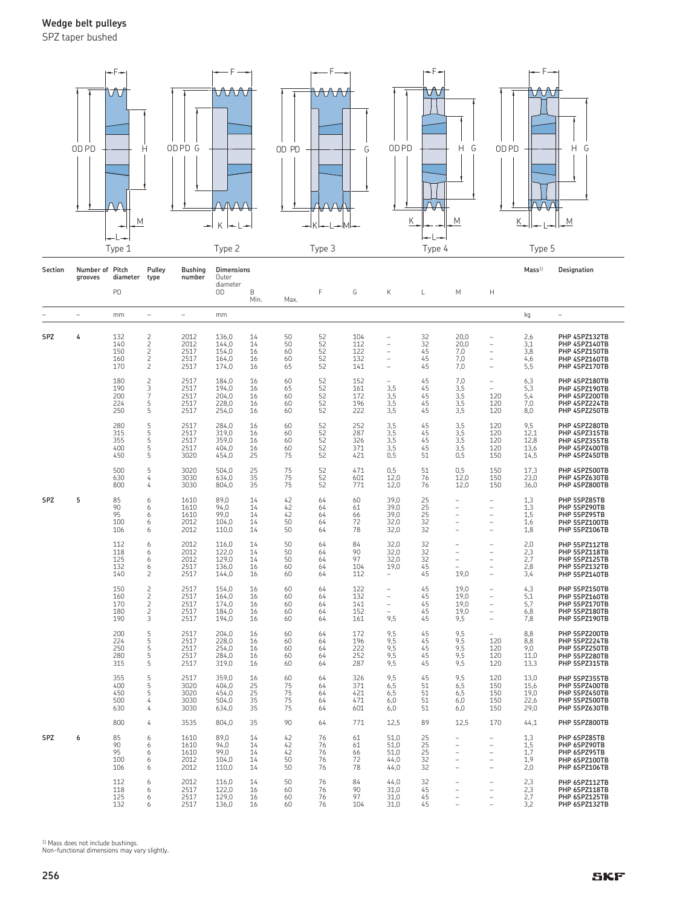SPZ taper bushed



| Section    | Number of Pitch<br>grooves | diameter                        | Pulley<br>type                                                                   | <b>Bushing</b><br>number             | <b>Dimensions</b><br>Outer                |                            |                            |                            |                                 |                                                                                                             |                            |                                     |                                                                                        | Mass <sup>1</sup>                    | Designation                                                                       |
|------------|----------------------------|---------------------------------|----------------------------------------------------------------------------------|--------------------------------------|-------------------------------------------|----------------------------|----------------------------|----------------------------|---------------------------------|-------------------------------------------------------------------------------------------------------------|----------------------------|-------------------------------------|----------------------------------------------------------------------------------------|--------------------------------------|-----------------------------------------------------------------------------------|
|            |                            | PD                              |                                                                                  |                                      | diameter<br>0D                            | B<br>Min.                  | Max.                       | F                          | G                               | Κ                                                                                                           | L                          | M                                   | Н                                                                                      |                                      |                                                                                   |
|            | $\overline{\phantom{0}}$   | mm                              | $\overline{\phantom{a}}$                                                         | $\overline{\phantom{0}}$             | mm                                        |                            |                            |                            |                                 |                                                                                                             |                            |                                     |                                                                                        | kg                                   | $\qquad \qquad -$                                                                 |
| SPZ        | 4                          | 132<br>140<br>150<br>160<br>170 | $\overline{c}$<br>$\overline{c}$<br>$\begin{array}{c}\n2 \\ 2 \\ 2\n\end{array}$ | 2012<br>2012<br>2517<br>2517<br>2517 | 136,0<br>144,0<br>154,0<br>164,0<br>174,0 | 14<br>14<br>16<br>16<br>16 | 50<br>50<br>60<br>60<br>65 | 52<br>52<br>52<br>52<br>52 | 104<br>112<br>122<br>132<br>141 | $\overline{\phantom{a}}$<br>$\overline{\phantom{0}}$<br>÷,<br>$\overline{\phantom{0}}$<br>$\qquad \qquad -$ | 32<br>32<br>45<br>45<br>45 | 20,0<br>20,0<br>7,0<br>7,0<br>7,0   | $\overline{\phantom{0}}$<br>$\overline{\phantom{0}}$<br>L,<br>L,<br>L,                 | 2,6<br>3,1<br>3,8<br>4,6<br>5,5      | PHP 4SPZ132TB<br>PHP 4SPZ140TB<br>PHP 4SPZ150TB<br>PHP 4SPZ160TB<br>PHP 4SPZ170TB |
|            |                            | 180<br>190<br>200<br>224<br>250 | $\frac{2}{3}$<br>$\overline{7}$<br>5<br>5                                        | 2517<br>2517<br>2517<br>2517<br>2517 | 184,0<br>194,0<br>204,0<br>228,0<br>254,0 | 16<br>16<br>16<br>16<br>16 | 60<br>65<br>60<br>60<br>60 | 52<br>52<br>52<br>52<br>52 | 152<br>161<br>172<br>196<br>222 | 3.5<br>3,5<br>3,5<br>3,5                                                                                    | 45<br>45<br>45<br>45<br>45 | 7,0<br>3,5<br>3,5<br>3,5<br>3,5     | $\qquad \qquad -$<br>$\equiv$<br>120<br>120<br>120                                     | 6,3<br>5.3<br>5,4<br>7,0<br>8,0      | PHP 4SPZ180TB<br>PHP 4SPZ190TB<br>PHP 4SPZ200TB<br>PHP 4SPZ224TB<br>PHP 4SPZ250TB |
|            |                            | 280<br>315<br>355<br>400<br>450 | 5<br>5<br>5<br>5<br>5                                                            | 2517<br>2517<br>2517<br>2517<br>3020 | 284,0<br>319,0<br>359,0<br>404,0<br>454,0 | 16<br>16<br>16<br>16<br>25 | 60<br>60<br>60<br>60<br>75 | 52<br>52<br>52<br>52<br>52 | 252<br>287<br>326<br>371<br>421 | 3,5<br>3,5<br>3,5<br>3,5<br>0,5                                                                             | 45<br>45<br>45<br>45<br>51 | 3,5<br>3,5<br>3,5<br>3,5<br>0,5     | 120<br>120<br>120<br>120<br>150                                                        | 9,5<br>12,1<br>12,8<br>13,6<br>14,5  | PHP 4SPZ280TB<br>PHP 4SPZ315TB<br>PHP 4SPZ355TB<br>PHP 4SPZ400TB<br>PHP 4SPZ450TB |
|            |                            | 500<br>630<br>800               | 5<br>4<br>4                                                                      | 3020<br>3030<br>3030                 | 504,0<br>634.0<br>804,0                   | 25<br>35<br>35             | 75<br>75<br>75             | 52<br>52<br>52             | 471<br>601<br>771               | 0,5<br>12.0<br>12,0                                                                                         | 51<br>76<br>76             | 0,5<br>12.0<br>12.0                 | 150<br>150<br>150                                                                      | 17,3<br>23.0<br>36,0                 | PHP 4SPZ500TB<br>PHP 4SPZ630TB<br>PHP 4SPZ800TB                                   |
| <b>SPZ</b> | 5                          | 85<br>90<br>95<br>100<br>106    | 6<br>6<br>6<br>6<br>6                                                            | 1610<br>1610<br>1610<br>2012<br>2012 | 89.0<br>94,0<br>99,0<br>104,0<br>110,0    | 14<br>14<br>14<br>14<br>14 | 42<br>42<br>42<br>50<br>50 | 64<br>64<br>64<br>64<br>64 | 60<br>61<br>66<br>72<br>78      | 39.0<br>39.0<br>39,0<br>32,0<br>32,0                                                                        | 25<br>25<br>25<br>32<br>32 | ÷<br>÷<br>۳<br>۰                    | L.<br>L.<br>L.<br>۳                                                                    | 1.3<br>1,3<br>1,5<br>1,6<br>1,8      | PHP 5SPZ85TB<br>PHP 5SPZ90TB<br>PHP 5SPZ95TB<br>PHP 5SPZ100TB<br>PHP 5SPZ106TB    |
|            |                            | 112<br>118<br>125<br>132<br>140 | 6<br>6<br>6<br>6<br>$\overline{c}$                                               | 2012<br>2012<br>2012<br>2517<br>2517 | 116,0<br>122,0<br>129,0<br>136,0<br>144,0 | 14<br>14<br>14<br>16<br>16 | 50<br>50<br>50<br>60<br>60 | 64<br>64<br>64<br>64<br>64 | 84<br>90<br>97<br>104<br>112    | 32,0<br>32,0<br>32,0<br>19,0                                                                                | 32<br>32<br>32<br>45<br>45 | ÷,<br>۳<br>÷,<br>19,0               | $\overline{\phantom{0}}$<br>$\overline{\phantom{0}}$<br>L,<br>L,                       | 2,0<br>2,3<br>2,7<br>2,8<br>3,4      | PHP 5SPZ112TB<br>PHP 5SPZ118TB<br>PHP 5SPZ125TB<br>PHP 5SPZ132TB<br>PHP 5SPZ140TB |
|            |                            | 150<br>160<br>170<br>180<br>190 | $\begin{array}{c}\n2 \\ 2 \\ 2\n\end{array}$<br>$\frac{2}{3}$                    | 2517<br>2517<br>2517<br>2517<br>2517 | 154,0<br>164,0<br>174,0<br>184,0<br>194,0 | 16<br>16<br>16<br>16<br>16 | 60<br>60<br>60<br>60<br>60 | 64<br>64<br>64<br>64<br>64 | 122<br>132<br>141<br>152<br>161 | $\overline{\phantom{0}}$<br>$\overline{\phantom{a}}$<br>$\overline{\phantom{a}}$<br>9,5                     | 45<br>45<br>45<br>45<br>45 | 19.0<br>19.0<br>19.0<br>19,0<br>9,5 | ۰<br>$\overline{\phantom{0}}$<br>$\equiv$<br>$\equiv$                                  | 4,3<br>5,1<br>5.7<br>6,8<br>7,8      | PHP 5SPZ150TB<br>PHP 5SPZ160TB<br>PHP 5SPZ170TB<br>PHP 5SPZ180TB<br>PHP 5SPZ190TB |
|            |                            | 200<br>224<br>250<br>280<br>315 | 5<br>5<br>5<br>5<br>5                                                            | 2517<br>2517<br>2517<br>2517<br>2517 | 204,0<br>228,0<br>254,0<br>284,0<br>319,0 | 16<br>16<br>16<br>16<br>16 | 60<br>60<br>60<br>60<br>60 | 64<br>64<br>64<br>64<br>64 | 172<br>196<br>222<br>252<br>287 | 9,5<br>9,5<br>9,5<br>9,5<br>9,5                                                                             | 45<br>45<br>45<br>45<br>45 | 9,5<br>9,5<br>9,5<br>9,5<br>9,5     | 120<br>120<br>120<br>120                                                               | 8,8<br>8,8<br>9,0<br>11,0<br>13,3    | PHP 5SPZ200TB<br>PHP 5SPZ224TB<br>PHP 5SPZ250TB<br>PHP 5SPZ280TB<br>PHP 5SPZ315TB |
|            |                            | 355<br>400<br>450<br>500<br>630 | 5<br>5<br>5<br>4<br>4                                                            | 2517<br>3020<br>3020<br>3030<br>3030 | 359,0<br>404,0<br>454,0<br>504.0<br>634,0 | 16<br>25<br>25<br>35<br>35 | 60<br>75<br>75<br>75<br>75 | 64<br>64<br>64<br>64<br>64 | 326<br>371<br>421<br>471<br>601 | 9,5<br>6,5<br>6,5<br>6.0<br>6.0                                                                             | 45<br>51<br>51<br>51<br>51 | 9,5<br>6,5<br>6,5<br>6.0<br>6,0     | 120<br>150<br>150<br>150<br>150                                                        | 13,0<br>15,6<br>19,0<br>22.6<br>29.0 | PHP 5SPZ355TB<br>PHP 5SPZ400TB<br>PHP 5SPZ450TB<br>PHP 5SPZ500TB<br>PHP 5SPZ630TB |
|            |                            | 800                             | 4                                                                                | 3535                                 | 804,0                                     | 35                         | 90                         | 64                         | 771                             | 12,5                                                                                                        | 89                         | 12,5                                | 170                                                                                    | 44,1                                 | PHP 5SPZ800TB                                                                     |
| SPZ        | 6                          | 85<br>90<br>95<br>100<br>106    | 6<br>6<br>6<br>6<br>6                                                            | 1610<br>1610<br>1610<br>2012<br>2012 | 89,0<br>94,0<br>99,0<br>104,0<br>110,0    | 14<br>14<br>14<br>14<br>14 | 42<br>42<br>42<br>50<br>50 | 76<br>76<br>76<br>76<br>76 | 61<br>61<br>66<br>72<br>78      | 51,0<br>51,0<br>51,0<br>44,0<br>44,0                                                                        | 25<br>25<br>25<br>32<br>32 | ÷,<br>۳<br>۳<br>÷                   | $\overline{\phantom{0}}$<br>$\overline{\phantom{0}}$<br>$\overline{\phantom{0}}$<br>L. | 1,3<br>1,5<br>1,7<br>1,9<br>2,0      | PHP 6SPZ85TB<br>PHP 6SPZ90TB<br>PHP 6SPZ95TB<br>PHP 6SPZ100TB<br>PHP 6SPZ106TB    |
|            |                            | 112<br>118<br>125<br>132        | 6<br>6<br>6<br>6                                                                 | 2012<br>2517<br>2517<br>2517         | 116,0<br>122,0<br>129,0<br>136,0          | 14<br>16<br>16<br>16       | 50<br>60<br>60<br>60       | 76<br>76<br>76<br>76       | 84<br>90<br>97<br>104           | 44,0<br>31,0<br>31.0<br>31.0                                                                                | 32<br>45<br>45<br>45       | ۳<br>÷,                             | $\overline{\phantom{0}}$<br>$\overline{\phantom{0}}$                                   | 2,3<br>2,3<br>2,7<br>3,2             | PHP 6SPZ112TB<br>PHP 6SPZ118TB<br>PHP 6SPZ125TB<br>PHP 6SPZ132TB                  |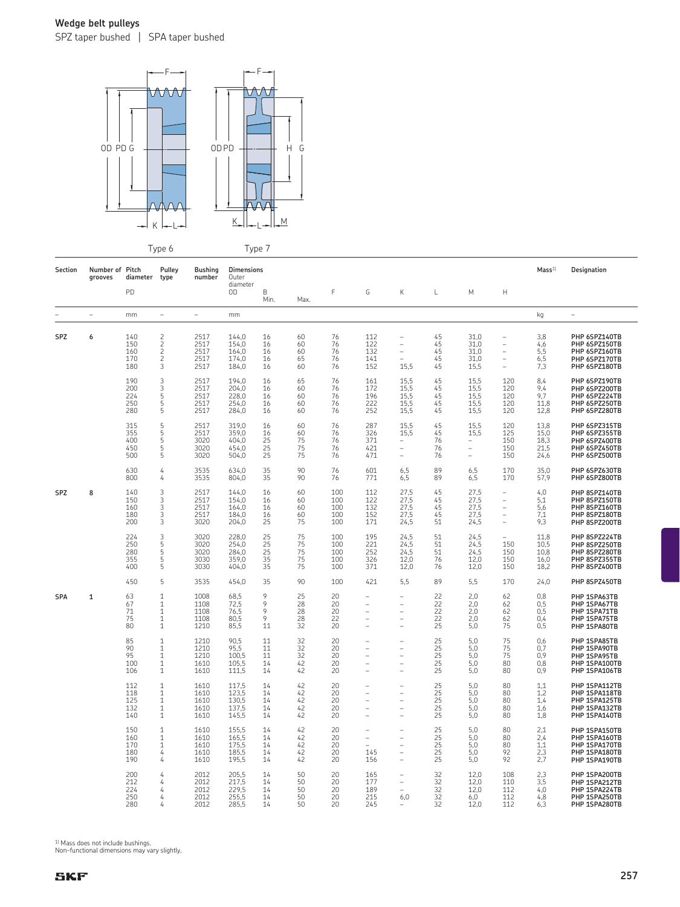SPZ taper bushed | SPA taper bushed



Type 6 Type 7

|            |                            |                                 | ノド                                                                           |                                      | J <sub>1</sub>                            |                                   |                            |                                 |                                                                                 |                                                                          |                                                                   |                                                      |                                                                                                            |                                      |                                                                                   |
|------------|----------------------------|---------------------------------|------------------------------------------------------------------------------|--------------------------------------|-------------------------------------------|-----------------------------------|----------------------------|---------------------------------|---------------------------------------------------------------------------------|--------------------------------------------------------------------------|-------------------------------------------------------------------|------------------------------------------------------|------------------------------------------------------------------------------------------------------------|--------------------------------------|-----------------------------------------------------------------------------------|
| Section    | Number of Pitch<br>grooves | diameter                        | Pulley<br>type                                                               | <b>Bushing</b><br>number             | <b>Dimensions</b><br>Outer<br>diameter    |                                   |                            |                                 |                                                                                 |                                                                          |                                                                   |                                                      |                                                                                                            | Mass <sup>1</sup>                    | Designation                                                                       |
|            |                            | PD                              |                                                                              |                                      | OD                                        | B<br>Min.                         | Max.                       | F                               | G                                                                               | Κ                                                                        | L                                                                 | М                                                    | H                                                                                                          |                                      |                                                                                   |
|            | $\overline{\phantom{m}}$   | mm                              | $\qquad \qquad -$                                                            | $\equiv$                             | mm                                        |                                   |                            |                                 |                                                                                 |                                                                          |                                                                   |                                                      |                                                                                                            | kg                                   | $\overline{\phantom{a}}$                                                          |
| SPZ        | 6                          | 140<br>150<br>160<br>170<br>180 | $\frac{2}{2}$<br>$\frac{2}{2}$<br>3                                          | 2517<br>2517<br>2517<br>2517<br>2517 | 144,0<br>154,0<br>164,0<br>174,0<br>184,0 | 16<br>16<br>16<br>16<br>16        | 60<br>60<br>60<br>65<br>60 | 76<br>76<br>76<br>76<br>76      | 112<br>122<br>132<br>141<br>152                                                 | $\overline{\phantom{0}}$<br>$\overline{\phantom{0}}$<br>$\equiv$<br>15,5 | 45<br>45<br>45<br>45<br>45                                        | 31,0<br>31.0<br>31.0<br>31,0<br>15,5                 | $\overline{\phantom{0}}$<br>$\overline{\phantom{0}}$<br>÷<br>$\qquad \qquad -$<br>$\overline{\phantom{a}}$ | 3,8<br>4,6<br>5,5<br>6,5<br>7,3      | PHP 6SPZ140TB<br>PHP 6SPZ150TB<br>PHP 6SPZ160TB<br>PHP 6SPZ170TB<br>PHP 6SPZ180TB |
|            |                            | 190<br>200<br>224<br>250<br>280 | 3<br>$\overline{3}$<br>5<br>5<br>5                                           | 2517<br>2517<br>2517<br>2517<br>2517 | 194,0<br>204.0<br>228,0<br>254.0<br>284,0 | 16<br>16<br>16<br>16<br>16        | 65<br>60<br>60<br>60<br>60 | 76<br>76<br>76<br>76<br>76      | 161<br>172<br>196<br>222<br>252                                                 | 15,5<br>15,5<br>15,5<br>15,5<br>15.5                                     | 45<br>45<br>45<br>45<br>45                                        | 15,5<br>15,5<br>15,5<br>15,5<br>15,5                 | 120<br>120<br>120<br>120<br>120                                                                            | 8,4<br>9.4<br>9.7<br>11.8<br>12,8    | PHP 6SPZ190TB<br>PHP 6SPZ200TB<br>PHP 6SPZ224TB<br>PHP 6SPZ250TB<br>PHP 6SPZ280TB |
|            |                            | 315<br>355<br>400<br>450<br>500 | 5<br>5<br>5<br>5<br>5                                                        | 2517<br>2517<br>3020<br>3020<br>3020 | 319.0<br>359.0<br>404,0<br>454.0<br>504,0 | 16<br>16<br>25<br>25<br>25        | 60<br>60<br>75<br>75<br>75 | 76<br>76<br>76<br>76<br>76      | 287<br>326<br>371<br>421<br>471                                                 | 15,5<br>15.5<br>$\qquad \qquad -$<br>$\qquad \qquad -$<br>÷              | 45<br>45<br>76<br>76<br>76                                        | 15,5<br>15.5<br>$\overline{\phantom{m}}$<br>÷,<br>÷, | 120<br>125<br>150<br>150<br>150                                                                            | 13,8<br>15.0<br>18,3<br>21,5<br>24,6 | PHP 6SPZ315TB<br>PHP 6SPZ355TB<br>PHP 6SPZ400TB<br>PHP 6SPZ450TB<br>PHP 6SPZ500TB |
|            |                            | 630<br>800                      | 4<br>4                                                                       | 3535<br>3535                         | 634.0<br>804,0                            | 35<br>35                          | 90<br>90                   | 76<br>76                        | 601<br>771                                                                      | 6,5<br>6,5                                                               | 89<br>89                                                          | 6,5<br>6,5                                           | 170<br>170                                                                                                 | 35.0<br>57,9                         | PHP 6SPZ630TB<br>PHP 6SPZ800TB                                                    |
| <b>SPZ</b> | 8                          | 140<br>150<br>160<br>180<br>200 | 3<br>3<br>3<br>3<br>3                                                        | 2517<br>2517<br>2517<br>2517<br>3020 | 144,0<br>154,0<br>164,0<br>184.0<br>204,0 | 16<br>16<br>16<br>16<br>25        | 60<br>60<br>60<br>60<br>75 | 100<br>100<br>100<br>100<br>100 | 112<br>122<br>132<br>152<br>171                                                 | 27.5<br>27,5<br>27,5<br>27.5<br>24,5                                     | 45<br>45<br>45<br>45<br>51                                        | 27,5<br>27,5<br>27,5<br>27,5<br>24,5                 | $\qquad \qquad -$<br>÷<br>$\qquad \qquad -$<br>$\overline{\phantom{0}}$<br>$\equiv$                        | 4,0<br>5,1<br>5,6<br>7.1<br>9,3      | PHP 8SPZ140TB<br>PHP 8SPZ150TB<br>PHP 8SPZ160TB<br>PHP 8SPZ180TB<br>PHP 8SPZ200TB |
|            |                            | 224<br>250<br>280<br>355<br>400 | 3<br>5<br>5<br>5<br>5                                                        | 3020<br>3020<br>3020<br>3030<br>3030 | 228,0<br>254,0<br>284.0<br>359.0<br>404,0 | 25<br>$\frac{25}{25}$<br>35<br>35 | 75<br>75<br>75<br>75<br>75 | 100<br>100<br>100<br>100<br>100 | 195<br>221<br>252<br>326<br>371                                                 | 24,5<br>24,5<br>24,5<br>12.0<br>12,0                                     | 51<br>51<br>51<br>76<br>76                                        | 24,5<br>24,5<br>24,5<br>12,0<br>12,0                 | $\overline{\phantom{a}}$<br>150<br>150<br>150<br>150                                                       | 11.8<br>10,5<br>10.8<br>16.0<br>18,2 | PHP 8SPZ224TB<br>PHP 8SPZ250TB<br>PHP 8SPZ280TB<br>PHP 8SPZ355TB<br>PHP 8SPZ400TB |
|            |                            | 450                             | 5                                                                            | 3535                                 | 454,0                                     | 35                                | 90                         | 100                             | 421                                                                             | 5,5                                                                      | 89                                                                | 5,5                                                  | 170                                                                                                        | 24,0                                 | PHP 8SPZ450TB                                                                     |
| <b>SPA</b> | $\mathbf{1}$               | 63<br>67<br>71<br>75<br>80      | $\mathbf{1}$<br>$\mathbf{1}$<br>$\mathbf{1}$<br>$\mathbf{1}$<br>$\mathbf{1}$ | 1008<br>1108<br>1108<br>1108<br>1210 | 68.5<br>72,5<br>76.5<br>80.5<br>85,5      | 9<br>9<br>9<br>9<br>11            | 25<br>28<br>28<br>28<br>32 | 20<br>20<br>20<br>22<br>20      | $\overline{\phantom{0}}$<br>÷,<br>$\qquad \qquad -$<br>$\overline{\phantom{0}}$ | $\qquad \qquad -$<br>L.<br>$\qquad \qquad -$<br>$\qquad \qquad -$        | 22<br>$\overline{22}$<br>22<br>$\frac{22}{25}$                    | 2,0<br>2,0<br>2,0<br>2.0<br>5,0                      | 62<br>62<br>62<br>62<br>75                                                                                 | 0.8<br>0,5<br>0.5<br>0.4<br>0, 5     | PHP 1SPA63TB<br>PHP 1SPA67TB<br>PHP 1SPA71TB<br>PHP 1SPA75TB<br>PHP 1SPA80TB      |
|            |                            | 85<br>90<br>95<br>100<br>106    | $\mathbf{1}$<br>$\mathbf{1}$<br>$\mathbf{1}$<br>$\mathbf{1}$<br>$\mathbf{1}$ | 1210<br>1210<br>1210<br>1610<br>1610 | 90.5<br>95,5<br>100.5<br>105.5<br>111,5   | 11<br>11<br>11<br>14<br>14        | 32<br>32<br>32<br>42<br>42 | 20<br>20<br>20<br>20<br>20      | ۰<br>Ĭ.<br>Ĭ.<br>$\hspace{1.0cm} - \hspace{1.0cm}$                              | $\overline{\phantom{0}}$<br>÷,<br>$\overline{\phantom{0}}$               | 25<br>$\overline{25}$<br>25<br>$\overline{25}$<br>$\overline{25}$ | 5.0<br>5,0<br>5.0<br>5.0<br>5,0                      | 75<br>75<br>75<br>80<br>80                                                                                 | 0.6<br>0,7<br>0.9<br>0.8<br>0,9      | PHP 1SPA85TB<br>PHP 1SPA90TB<br>PHP 1SPA95TB<br>PHP 1SPA100TB<br>PHP 1SPA106TB    |
|            |                            | 112<br>118<br>125<br>132<br>140 | $1\,$<br>$\mathbf{1}$<br>$\mathbf{1}$<br>$\mathbf{1}$<br>$\mathbf{1}$        | 1610<br>1610<br>1610<br>1610<br>1610 | 117,5<br>123,5<br>130,5<br>137,5<br>145,5 | 14<br>14<br>14<br>14<br>14        | 42<br>42<br>42<br>42<br>42 | 20<br>20<br>20<br>20<br>20      | $\overline{\phantom{a}}$<br>Ĭ.<br>$\overline{\phantom{0}}$<br>÷,<br>L,          | $\overline{\phantom{0}}$<br>÷,<br>$\overline{\phantom{0}}$               | 25<br>25<br>25<br>$\overline{25}$<br>25                           | 5,0<br>5,0<br>5.0<br>5,0<br>5,0                      | 80<br>80<br>80<br>80<br>80                                                                                 | 1,1<br>1,2<br>1.4<br>1,6<br>1,8      | PHP 1SPA112TB<br>PHP 1SPA118TB<br>PHP 1SPA125TB<br>PHP 1SPA132TB<br>PHP 1SPA140TB |
|            |                            | 150<br>160<br>170<br>180<br>190 | $\mathbf{1}$<br>$\mathbf{1}$<br>$\mathbf{1}$<br>4<br>4                       | 1610<br>1610<br>1610<br>1610<br>1610 | 155,5<br>165,5<br>175,5<br>185,5<br>195,5 | 14<br>14<br>14<br>14<br>14        | 42<br>42<br>42<br>42<br>42 | 20<br>20<br>20<br>20<br>20      | ÷,<br>$\overline{\phantom{0}}$<br>145<br>156                                    | $\overline{\phantom{0}}$<br>$\overline{a}$<br>÷,                         | 25<br>25<br>25<br>$\overline{25}$<br>25                           | 5,0<br>5,0<br>5.0<br>5,0<br>5,0                      | 80<br>80<br>80<br>92<br>92                                                                                 | 2,1<br>2,4<br>1.1<br>2,3<br>2,7      | PHP 1SPA150TB<br>PHP 1SPA160TB<br>PHP 1SPA170TB<br>PHP 1SPA180TB<br>PHP 1SPA190TB |
|            |                            | 200<br>212<br>224<br>250<br>280 | 4<br>4<br>4<br>4<br>4                                                        | 2012<br>2012<br>2012<br>2012<br>2012 | 205,5<br>217,5<br>229,5<br>255,5<br>285,5 | 14<br>14<br>14<br>14<br>14        | 50<br>50<br>50<br>50<br>50 | 20<br>20<br>20<br>20<br>20      | 165<br>177<br>189<br>215<br>245                                                 | 6,0                                                                      | 32<br>32<br>32<br>32<br>32                                        | 12,0<br>12,0<br>12,0<br>6,0<br>12,0                  | 108<br>110<br>112<br>112<br>112                                                                            | 2,3<br>3,5<br>4,0<br>4,8<br>6,3      | PHP 1SPA200TB<br>PHP 1SPA212TB<br>PHP 1SPA224TB<br>PHP 1SPA250TB<br>PHP 1SPA280TB |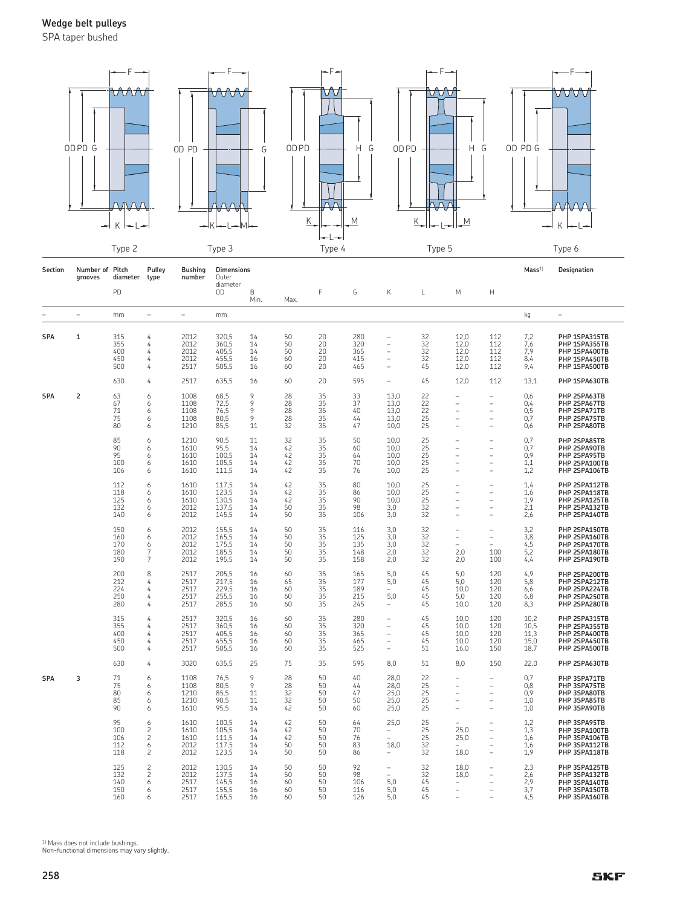SPA taper bushed



| Section    | Number of Pitch<br>grooves | diameter                        | Pulley<br>type                                                    | <b>Bushing</b><br>number             | <b>Dimensions</b><br>Outer                |                            |                            |                            |                                 |                                                                     |                                                           |                                                                 |                                                                                        | Mass <sup>1</sup>                    | Designation                                                                       |
|------------|----------------------------|---------------------------------|-------------------------------------------------------------------|--------------------------------------|-------------------------------------------|----------------------------|----------------------------|----------------------------|---------------------------------|---------------------------------------------------------------------|-----------------------------------------------------------|-----------------------------------------------------------------|----------------------------------------------------------------------------------------|--------------------------------------|-----------------------------------------------------------------------------------|
|            |                            | PD                              |                                                                   |                                      | diameter<br>OD                            | B<br>Min.                  | Max.                       | F                          | G                               | Κ                                                                   | L                                                         | М                                                               | $\mathsf{H}$                                                                           |                                      |                                                                                   |
|            | $\overline{\phantom{a}}$   | mm                              | $\equiv$                                                          | $\overline{\phantom{0}}$             | mm                                        |                            |                            |                            |                                 |                                                                     |                                                           |                                                                 |                                                                                        | kg                                   | $\overline{\phantom{0}}$                                                          |
| SPA        | 1                          | 315<br>355<br>400<br>450<br>500 | 4<br>4<br>4<br>4<br>4                                             | 2012<br>2012<br>2012<br>2012<br>2517 | 320,5<br>360,5<br>405,5<br>455,5<br>505,5 | 14<br>14<br>14<br>16<br>16 | 50<br>50<br>50<br>60<br>60 | 20<br>20<br>20<br>20<br>20 | 280<br>320<br>365<br>415<br>465 | $\overline{\phantom{a}}$<br>÷<br>÷<br>$\overline{\phantom{a}}$<br>÷ | 32<br>32<br>32<br>32<br>45                                | 12,0<br>12,0<br>12,0<br>12,0<br>12,0                            | 112<br>112<br>112<br>112<br>112                                                        | 7,2<br>7,6<br>7,9<br>8,4<br>9,4      | PHP 1SPA315TB<br>PHP 1SPA355TB<br>PHP 1SPA400TB<br>PHP 1SPA450TB<br>PHP 1SPA500TB |
|            |                            | 630                             | 4                                                                 | 2517                                 | 635,5                                     | 16                         | 60                         | 20                         | 595                             | ÷,                                                                  | 45                                                        | 12,0                                                            | 112                                                                                    | 13,1                                 | PHP 1SPA630TB                                                                     |
| <b>SPA</b> | 2                          | 63<br>67<br>71<br>75<br>80      | 6<br>6<br>6<br>6<br>6                                             | 1008<br>1108<br>1108<br>1108<br>1210 | 68,5<br>72,5<br>76,5<br>80,5<br>85,5      | 9<br>9<br>9<br>9<br>11     | 28<br>28<br>28<br>28<br>32 | 35<br>35<br>35<br>35<br>35 | 33<br>37<br>40<br>44<br>47      | 13,0<br>13,0<br>13,0<br>13,0<br>10,0                                | 22<br>22<br>22<br>25<br>25                                | ۰<br>i.<br>÷<br>÷<br>÷                                          | ۰<br>$\equiv$<br>÷<br>$\equiv$                                                         | 0,6<br>0,4<br>0, 5<br>0,7<br>0,6     | PHP 2SPA63TB<br>PHP 2SPA67TB<br>PHP 2SPA71TB<br>PHP 2SPA75TB<br>PHP 2SPA80TB      |
|            |                            | 85<br>90<br>95<br>100<br>106    | 6<br>6<br>6<br>6<br>6                                             | 1210<br>1610<br>1610<br>1610<br>1610 | 90,5<br>95,5<br>100,5<br>105,5<br>111,5   | 11<br>14<br>14<br>14<br>14 | 32<br>42<br>42<br>42<br>42 | 35<br>35<br>35<br>35<br>35 | 50<br>60<br>64<br>70<br>76      | 10,0<br>10,0<br>10.0<br>10.0<br>10.0                                | 25<br>25<br>25<br>25<br>25                                | ÷<br>L.                                                         | L,<br>L,<br>÷<br>÷<br>L.                                                               | 0,7<br>0,7<br>0,9<br>1,1<br>1,2      | PHP 2SPA85TB<br>PHP 2SPA90TB<br>PHP 2SPA95TB<br>PHP 2SPA100TB<br>PHP 2SPA106TB    |
|            |                            | 112<br>118<br>125<br>132<br>140 | 6<br>6<br>6<br>6<br>6                                             | 1610<br>1610<br>1610<br>2012<br>2012 | 117,5<br>123,5<br>130,5<br>137,5<br>145,5 | 14<br>14<br>14<br>14<br>14 | 42<br>42<br>42<br>50<br>50 | 35<br>35<br>35<br>35<br>35 | 80<br>86<br>90<br>98<br>106     | 10,0<br>10,0<br>10.0<br>3,0<br>3,0                                  | 25<br>25<br>25<br>32<br>32                                | ÷<br>÷<br>Ĭ.<br>÷,<br>L.                                        | $\equiv$<br>÷<br>$\overline{\phantom{0}}$<br>L,                                        | 1,4<br>1,6<br>1,9<br>2,1<br>2,6      | PHP 2SPA112TB<br>PHP 2SPA118TB<br>PHP 2SPA125TB<br>PHP 2SPA132TB<br>PHP 2SPA140TB |
|            |                            | 150<br>160<br>170<br>180<br>190 | 6<br>6<br>6<br>7<br>7                                             | 2012<br>2012<br>2012<br>2012<br>2012 | 155,5<br>165,5<br>175,5<br>185,5<br>195,5 | 14<br>14<br>14<br>14<br>14 | 50<br>50<br>50<br>50<br>50 | 35<br>35<br>35<br>35<br>35 | 116<br>125<br>135<br>148<br>158 | 3,0<br>3.0<br>3,0<br>2,0<br>2,0                                     | 32<br>32<br>32<br>32<br>32                                | $\qquad \qquad$<br>÷,<br>$\overline{\phantom{a}}$<br>2,0<br>2,0 | $\overline{\phantom{0}}$<br>$\overline{\phantom{0}}$<br>100<br>100                     | 3,2<br>3,8<br>4,5<br>5,2<br>4,4      | PHP 2SPA150TB<br>PHP 2SPA160TB<br>PHP 2SPA170TB<br>PHP 2SPA180TB<br>PHP 2SPA190TB |
|            |                            | 200<br>212<br>224<br>250<br>280 | 8<br>4<br>4<br>4<br>4                                             | 2517<br>2517<br>2517<br>2517<br>2517 | 205,5<br>217,5<br>229,5<br>255,5<br>285,5 | 16<br>16<br>16<br>16<br>16 | 60<br>65<br>60<br>60<br>60 | 35<br>35<br>35<br>35<br>35 | 165<br>177<br>189<br>215<br>245 | 5.0<br>5,0<br>5,0<br>$\qquad \qquad -$                              | 45<br>45<br>45<br>45<br>45                                | 5.0<br>5.0<br>10.0<br>5.0<br>10.0                               | 120<br>120<br>120<br>120<br>120                                                        | 4,9<br>5,8<br>6,6<br>6,8<br>8,3      | PHP 2SPA200TB<br>PHP 2SPA212TB<br>PHP 2SPA224TB<br>PHP 2SPA250TB<br>PHP 2SPA280TB |
|            |                            | 315<br>355<br>400<br>450<br>500 | 4<br>4<br>4<br>4<br>4                                             | 2517<br>2517<br>2517<br>2517<br>2517 | 320,5<br>360,5<br>405,5<br>455,5<br>505,5 | 16<br>16<br>16<br>16<br>16 | 60<br>60<br>60<br>60<br>60 | 35<br>35<br>35<br>35<br>35 | 280<br>320<br>365<br>465<br>525 | $\equiv$<br>i.<br>$\equiv$<br>$\equiv$<br>÷,                        | 45<br>45<br>45<br>45<br>51                                | 10.0<br>10,0<br>10,0<br>10,0<br>16,0                            | 120<br>120<br>120<br>120<br>150                                                        | 10,2<br>10,5<br>11,3<br>15,0<br>18,7 | PHP 2SPA315TB<br>PHP 2SPA355TB<br>PHP 2SPA400TB<br>PHP 2SPA450TB<br>PHP 2SPA500TB |
|            |                            | 630                             | 4                                                                 | 3020                                 | 635,5                                     | 25                         | 75                         | 35                         | 595                             | 8,0                                                                 | 51                                                        | 8,0                                                             | 150                                                                                    | 22,0                                 | PHP 2SPA630TB                                                                     |
| <b>SPA</b> | 3                          | 71<br>75<br>80<br>85<br>90      | 6<br>6<br>6<br>6<br>6                                             | 1108<br>1108<br>1210<br>1210<br>1610 | 76,5<br>80,5<br>85.5<br>90,5<br>95,5      | 9<br>9<br>11<br>11<br>14   | 28<br>28<br>32<br>32<br>42 | 50<br>50<br>50<br>50<br>50 | 40<br>44<br>47<br>50<br>60      | 28,0<br>28.0<br>25,0<br>25,0<br>25,0                                | $\begin{array}{c} 22 \\ 25 \end{array}$<br>25<br>25<br>25 | ÷<br>i.<br>۰<br>۰                                               | $\overline{\phantom{0}}$<br>L.<br>$\equiv$<br>$\equiv$                                 | 0.7<br>0,8<br>0,9<br>1,0<br>1,0      | PHP 3SPA71TB<br>PHP 3SPA75TB<br>PHP 3SPA80TB<br>PHP 3SPA85TB<br>PHP 3SPA90TB      |
|            |                            | 95<br>100<br>106<br>112<br>118  | 6<br>$\frac{2}{2}$<br>6<br>$\overline{c}$                         | 1610<br>1610<br>1610<br>2012<br>2012 | 100,5<br>105,5<br>111,5<br>117,5<br>123,5 | 14<br>14<br>14<br>14<br>14 | 42<br>42<br>42<br>50<br>50 | 50<br>50<br>50<br>50<br>50 | 64<br>70<br>76<br>83<br>86      | 25,0<br>÷<br>18,0                                                   | 25<br>25<br>25<br>32<br>32                                | 25,0<br>25,0<br>18,0                                            | $\overline{\phantom{0}}$<br>L,<br>$\overline{\phantom{0}}$<br>$\overline{\phantom{0}}$ | 1,2<br>1,3<br>1,6<br>1,6<br>1,9      | PHP 3SPA95TB<br>PHP 3SPA100TB<br>PHP 3SPA106TB<br>PHP 3SPA112TB<br>PHP 3SPA118TB  |
|            |                            | 125<br>132<br>140<br>150<br>160 | $\overline{\mathbf{c}}$<br>$\overline{\mathbf{c}}$<br>6<br>6<br>6 | 2012<br>2012<br>2517<br>2517<br>2517 | 130,5<br>137,5<br>145,5<br>155.5<br>165,5 | 14<br>14<br>16<br>16<br>16 | 50<br>50<br>60<br>60<br>60 | 50<br>50<br>50<br>50<br>50 | 92<br>98<br>106<br>116<br>126   | ۰<br>5,0<br>5.0<br>5.0                                              | 32<br>32<br>45<br>45<br>45                                | 18,0<br>18,0<br>÷,                                              | $\overline{\phantom{0}}$<br>÷<br>۳<br>L                                                | 2,3<br>2,6<br>2,9<br>3,7<br>4.5      | PHP 3SPA125TB<br>PHP 3SPA132TB<br>PHP 3SPA140TB<br>PHP 3SPA150TB<br>PHP 3SPA160TB |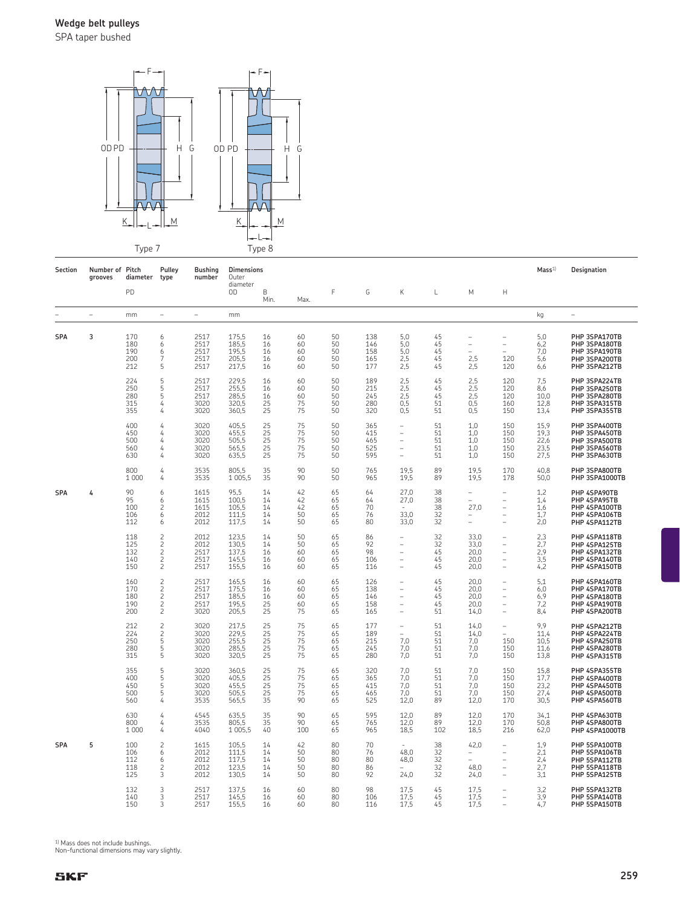SPA taper bushed



| Section    | Number of Pitch<br>grooves | diameter                        | Pulley<br>type                                                                         | <b>Bushing</b><br>number             | <b>Dimensions</b><br>Outer                |                            |                            |                            |                                 |                                                                                                                                   |                            |                                                              |                                                                                               | Mass <sup>1</sup>                    | Designation                                                                       |
|------------|----------------------------|---------------------------------|----------------------------------------------------------------------------------------|--------------------------------------|-------------------------------------------|----------------------------|----------------------------|----------------------------|---------------------------------|-----------------------------------------------------------------------------------------------------------------------------------|----------------------------|--------------------------------------------------------------|-----------------------------------------------------------------------------------------------|--------------------------------------|-----------------------------------------------------------------------------------|
|            |                            | PD                              |                                                                                        |                                      | diameter<br>0D                            | B<br>Min.                  | Max.                       | F                          | G                               | К                                                                                                                                 | L                          | М                                                            | Н                                                                                             |                                      |                                                                                   |
|            | $\overline{\phantom{a}}$   | mm                              | $\overline{\phantom{m}}$                                                               | $\overline{\phantom{a}}$             | mm                                        |                            |                            |                            |                                 |                                                                                                                                   |                            |                                                              |                                                                                               | kg                                   | $\overline{\phantom{0}}$                                                          |
| <b>SPA</b> | 3                          | 170<br>180<br>190<br>200<br>212 | 6<br>6<br>6<br>5                                                                       | 2517<br>2517<br>2517<br>2517<br>2517 | 175,5<br>185,5<br>195,5<br>205,5<br>217,5 | 16<br>16<br>16<br>16<br>16 | 60<br>60<br>60<br>60<br>60 | 50<br>50<br>50<br>50<br>50 | 138<br>146<br>158<br>165<br>177 | 5,0<br>5,0<br>5,0<br>2,5<br>2,5                                                                                                   | 45<br>45<br>45<br>45<br>45 | $\overline{\phantom{0}}$<br>$\overline{a}$<br>$2,5$<br>$2,5$ | $\overline{\phantom{0}}$<br>$\qquad \qquad -$<br>120<br>120                                   | 5,0<br>6,2<br>7,0<br>5,6<br>6,6      | PHP 3SPA170TB<br>PHP 3SPA180TB<br>PHP 3SPA190TB<br>PHP 3SPA200TB<br>PHP 3SPA212TB |
|            |                            | 224<br>250<br>280<br>315<br>355 | 5<br>5<br>5<br>4<br>4                                                                  | 2517<br>2517<br>2517<br>3020<br>3020 | 229.5<br>255.5<br>285,5<br>320,5<br>360,5 | 16<br>16<br>16<br>25<br>25 | 60<br>60<br>60<br>75<br>75 | 50<br>50<br>50<br>50<br>50 | 189<br>215<br>245<br>280<br>320 | 2,5<br>2.5<br>2,5<br>0,5<br>0,5                                                                                                   | 45<br>45<br>45<br>51<br>51 | 2,5<br>2,5<br>2,5<br>0, 5<br>0, 5                            | 120<br>120<br>120<br>160<br>150                                                               | 7,5<br>8,6<br>10,0<br>12,8<br>13,4   | PHP 3SPA224TB<br>PHP 3SPA250TB<br>PHP 3SPA280TB<br>PHP 3SPA315TB<br>PHP 3SPA355TB |
|            |                            | 400<br>450<br>500<br>560<br>630 | 4<br>4<br>4<br>4<br>4                                                                  | 3020<br>3020<br>3020<br>3020<br>3020 | 405,5<br>455,5<br>505,5<br>565,5<br>635,5 | 25<br>25<br>25<br>25<br>25 | 75<br>75<br>75<br>75<br>75 | 50<br>50<br>50<br>50<br>50 | 365<br>415<br>465<br>525<br>595 | ÷,<br>÷,<br>$\overline{\phantom{0}}$<br>$\overline{\phantom{0}}$<br>÷,                                                            | 51<br>51<br>51<br>51<br>51 | 1,0<br>1,0<br>1,0<br>1,0<br>1,0                              | 150<br>150<br>150<br>150<br>150                                                               | 15,9<br>19,3<br>22,6<br>23,5<br>27,5 | PHP 3SPA400TB<br>PHP 3SPA450TB<br>PHP 3SPA500TB<br>PHP 3SPA560TB<br>PHP 3SPA630TB |
|            |                            | 800<br>1 0 0 0                  | 4<br>4                                                                                 | 3535<br>3535                         | 805,5<br>1 0 0 5, 5                       | 35<br>35                   | 90<br>90                   | 50<br>50                   | 765<br>965                      | 19.5<br>19,5                                                                                                                      | 89<br>89                   | 19.5<br>19,5                                                 | 170<br>178                                                                                    | 40,8<br>50,0                         | PHP 3SPA800TB<br>PHP 3SPA1000TB                                                   |
| <b>SPA</b> | 4                          | 90<br>95<br>100<br>106<br>112   | 6<br>6<br>2<br>6<br>6                                                                  | 1615<br>1615<br>1615<br>2012<br>2012 | 95.5<br>100,5<br>105,5<br>111.5<br>117,5  | 14<br>14<br>14<br>14<br>14 | 42<br>42<br>42<br>50<br>50 | 65<br>65<br>65<br>65<br>65 | 64<br>64<br>70<br>76<br>80      | 27.0<br>27,0<br>33,0<br>33,0                                                                                                      | 38<br>38<br>38<br>32<br>32 | L,<br>27,0<br>۳                                              | $\equiv$<br>÷,<br>$\overline{\phantom{a}}$<br>÷                                               | 1,2<br>1,4<br>1,6<br>1,7<br>2,0      | PHP 4SPA90TB<br>PHP 4SPA95TB<br>PHP 4SPA100TB<br>PHP 4SPA106TB<br>PHP 4SPA112TB   |
|            |                            | 118<br>125<br>132<br>140<br>150 | $\overline{c}$<br>$\overline{c}$<br>$\overline{c}$<br>$\overline{c}$<br>$\overline{c}$ | 2012<br>2012<br>2517<br>2517<br>2517 | 123,5<br>130,5<br>137,5<br>145,5<br>155,5 | 14<br>14<br>16<br>16<br>16 | 50<br>50<br>60<br>60<br>60 | 65<br>65<br>65<br>65<br>65 | 86<br>92<br>98<br>106<br>116    | $\qquad \qquad -$<br>$\overline{\phantom{0}}$<br>$\overline{\phantom{0}}$<br>$\overline{\phantom{0}}$                             | 32<br>32<br>45<br>45<br>45 | 33,0<br>33,0<br>20,0<br>20,0<br>20,0                         | $\overline{\phantom{a}}$<br>$\qquad \qquad -$<br>$\sim$<br>$\sim$<br>$\overline{\phantom{a}}$ | 2,3<br>2,7<br>2,9<br>3,5<br>4,2      | PHP 4SPA118TB<br>PHP 4SPA125TB<br>PHP 4SPA132TB<br>PHP 4SPA140TB<br>PHP 4SPA150TB |
|            |                            | 160<br>170<br>180<br>190<br>200 | $\overline{c}$<br>$\overline{c}$<br>$\overline{c}$<br>$\overline{c}$<br>$\overline{c}$ | 2517<br>2517<br>2517<br>2517<br>3020 | 165,5<br>175,5<br>185,5<br>195,5<br>205,5 | 16<br>16<br>16<br>25<br>25 | 60<br>60<br>60<br>60<br>75 | 65<br>65<br>65<br>65<br>65 | 126<br>138<br>146<br>158<br>165 | $\qquad \qquad -$<br>$\overline{\phantom{0}}$<br>$\overline{\phantom{0}}$<br>$\overline{\phantom{0}}$<br>$\overline{\phantom{0}}$ | 45<br>45<br>45<br>45<br>51 | 20,0<br>20,0<br>20,0<br>20,0<br>14,0                         | ÷,<br>$\qquad \qquad -$<br>$\qquad \qquad -$<br>$\qquad \qquad -$<br>÷,                       | 5,1<br>6,0<br>6,9<br>7,2<br>8,4      | PHP 4SPA160TB<br>PHP 4SPA170TB<br>PHP 4SPA180TB<br>PHP 4SPA190TB<br>PHP 4SPA200TB |
|            |                            | 212<br>224<br>250<br>280<br>315 | $\overline{c}$<br>$\overline{\mathbf{c}}$<br>5<br>5<br>5                               | 3020<br>3020<br>3020<br>3020<br>3020 | 217,5<br>229,5<br>255,5<br>285,5<br>320,5 | 25<br>25<br>25<br>25<br>25 | 75<br>75<br>75<br>75<br>75 | 65<br>65<br>65<br>65<br>65 | 177<br>189<br>215<br>245<br>280 | $\qquad \qquad -$<br>7,0<br>7,0<br>7,0                                                                                            | 51<br>51<br>51<br>51<br>51 | 14,0<br>14,0<br>7,0<br>7,0<br>7,0                            | $\equiv$<br>150<br>150<br>150                                                                 | 9.9<br>11.4<br>10,5<br>11,6<br>13,8  | PHP 4SPA212TB<br>PHP 4SPA224TB<br>PHP 4SPA250TB<br>PHP 4SPA280TB<br>PHP 4SPA315TB |
|            |                            | 355<br>400<br>450<br>500<br>560 | 5<br>5<br>5<br>5<br>4                                                                  | 3020<br>3020<br>3020<br>3020<br>3535 | 360,5<br>405,5<br>455,5<br>505,5<br>565,5 | 25<br>25<br>25<br>25<br>35 | 75<br>75<br>75<br>75<br>90 | 65<br>65<br>65<br>65<br>65 | 320<br>365<br>415<br>465<br>525 | 7,0<br>7,0<br>7,0<br>7,0<br>12,0                                                                                                  | 51<br>51<br>51<br>51<br>89 | 7,0<br>7,0<br>7,0<br>7,0<br>12,0                             | 150<br>150<br>150<br>150<br>170                                                               | 15,8<br>17,7<br>23,2<br>27,4<br>30,5 | PHP 4SPA355TB<br>PHP 4SPA400TB<br>PHP 4SPA450TB<br>PHP 4SPA500TB<br>PHP 4SPA560TB |
|            |                            | 630<br>800<br>1 0 0 0           | 4<br>4<br>4                                                                            | 4545<br>3535<br>4040                 | 635,5<br>805,5<br>1 0 0 5, 5              | 35<br>35<br>40             | 90<br>90<br>100            | 65<br>65<br>65             | 595<br>765<br>965               | 12,0<br>12,0<br>18,5                                                                                                              | 89<br>89<br>102            | 12,0<br>12,0<br>18,5                                         | 170<br>170<br>216                                                                             | 34,1<br>50,8<br>62,0                 | PHP 4SPA630TB<br>PHP 4SPA800TB<br>PHP 4SPA1000TB                                  |
| <b>SPA</b> | 5                          | 100<br>106<br>112<br>118<br>125 | $\overline{c}$<br>6<br>6<br>2<br>3                                                     | 1615<br>2012<br>2012<br>2012<br>2012 | 105.5<br>111.5<br>117.5<br>123,5<br>130,5 | 14<br>14<br>14<br>14<br>14 | 42<br>50<br>50<br>50<br>50 | 80<br>80<br>80<br>80<br>80 | 70<br>76<br>80<br>86<br>92      | 48.0<br>48.0<br>24,0                                                                                                              | 38<br>32<br>32<br>32<br>32 | 42,0<br>$\equiv$<br>48,0<br>24,0                             | ÷,<br>÷                                                                                       | 1.9<br>2,1<br>2.4<br>2,7<br>3,1      | PHP 5SPA100TB<br>PHP 5SPA106TB<br>PHP 5SPA112TB<br>PHP 5SPA118TB<br>PHP 5SPA125TB |
|            |                            | 132<br>140<br>150               | 3<br>3<br>ς                                                                            | 2517<br>2517<br>2517                 | 137,5<br>145,5<br>155.5                   | 16<br>16<br>16             | 60<br>60<br>60             | 80<br>80<br>80             | 98<br>106<br>116                | 17.5<br>17.5<br>17.5                                                                                                              | 45<br>45<br>45             | 17,5<br>17,5<br>17.5                                         | $\overline{\phantom{0}}$<br>$\overline{\phantom{0}}$                                          | 3,2<br>3,9<br>4,7                    | PHP 5SPA132TB<br>PHP 5SPA140TB<br>PHP 5SPA150TB                                   |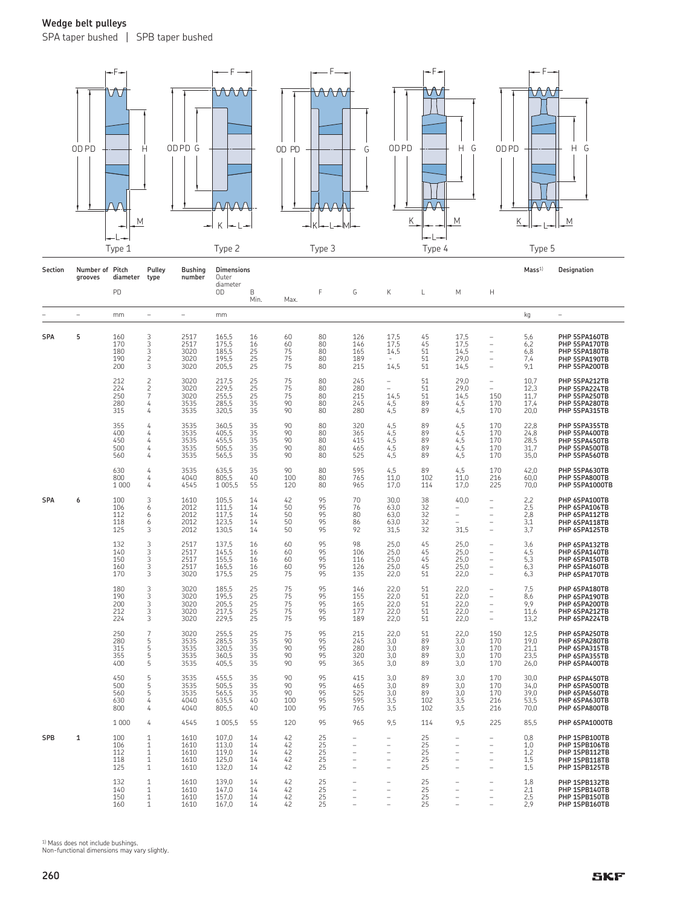SPA taper bushed | SPB taper bushed



| Section    | Number of<br>grooves | Pitch<br>diameter               | Pulley<br>type                                         | <b>Bushing</b><br>number             | <b>Dimensions</b><br>Outer                |                            |                              |                            |                                 |                                      |                              |                                                |                                                                                              | Mass <sup>1</sup>                    | Designation                                                                       |
|------------|----------------------|---------------------------------|--------------------------------------------------------|--------------------------------------|-------------------------------------------|----------------------------|------------------------------|----------------------------|---------------------------------|--------------------------------------|------------------------------|------------------------------------------------|----------------------------------------------------------------------------------------------|--------------------------------------|-----------------------------------------------------------------------------------|
|            |                      | PD                              |                                                        |                                      | diameter<br>0D                            | B<br>Min.                  | Max.                         | F                          | G                               | K                                    | L                            | М                                              | H                                                                                            |                                      |                                                                                   |
|            | ÷                    | mm                              | ÷                                                      | ÷                                    | mm                                        |                            |                              |                            |                                 |                                      |                              |                                                |                                                                                              | kg                                   | ÷                                                                                 |
| <b>SPA</b> | 5                    | 160<br>170<br>180<br>190<br>200 | 3<br>3<br>3<br>$\overline{c}$<br>3                     | 2517<br>2517<br>3020<br>3020<br>3020 | 165,5<br>175,5<br>185,5<br>195,5<br>205,5 | 16<br>16<br>25<br>25<br>25 | 60<br>60<br>75<br>75<br>75   | 80<br>80<br>80<br>80<br>80 | 126<br>146<br>165<br>189<br>215 | 17,5<br>17,5<br>14,5<br>14,5         | 45<br>45<br>51<br>51<br>51   | 17,5<br>17,5<br>14,5<br>29,0<br>14,5           | $\overline{\phantom{0}}$<br>$\overline{\phantom{0}}$<br>L,<br>L,<br>$\overline{\phantom{a}}$ | 5,6<br>6,2<br>6,8<br>7,4<br>9,1      | PHP 5SPA160TB<br>PHP 5SPA170TB<br>PHP 5SPA180TB<br>PHP 5SPA190TB<br>PHP 5SPA200TB |
|            |                      | 212<br>224<br>250<br>280<br>315 | $\frac{2}{2}$<br>$\overline{7}$<br>4<br>4              | 3020<br>3020<br>3020<br>3535<br>3535 | 217,5<br>229,5<br>255,5<br>285,5<br>320.5 | 25<br>25<br>25<br>35<br>35 | 75<br>75<br>75<br>90<br>90   | 80<br>80<br>80<br>80<br>80 | 245<br>280<br>215<br>245<br>280 | ÷<br>14,5<br>4,5<br>4,5              | 51<br>51<br>51<br>89<br>89   | 29,0<br>29,0<br>14,5<br>4,5<br>4,5             | $\overline{\phantom{0}}$<br>÷,<br>150<br>170<br>170                                          | 10,7<br>12,3<br>11,7<br>17.4<br>20.0 | PHP 5SPA212TB<br>PHP 5SPA224TB<br>PHP 5SPA250TB<br>PHP 5SPA280TB<br>PHP 5SPA315TB |
|            |                      | 355<br>400<br>450<br>500<br>560 | 4<br>4<br>4<br>4<br>4                                  | 3535<br>3535<br>3535<br>3535<br>3535 | 360,5<br>405,5<br>455,5<br>505,5<br>565,5 | 35<br>35<br>35<br>35<br>35 | 90<br>90<br>90<br>90<br>90   | 80<br>80<br>80<br>80<br>80 | 320<br>365<br>415<br>465<br>525 | 4,5<br>4,5<br>4,5<br>4,5<br>4,5      | 89<br>89<br>89<br>89<br>89   | 4,5<br>4,5<br>4,5<br>4,5<br>4,5                | 170<br>170<br>170<br>170<br>170                                                              | 22,8<br>24.8<br>28,5<br>31,7<br>35,0 | PHP 5SPA355TB<br>PHP 5SPA400TB<br>PHP 5SPA450TB<br>PHP 5SPA500TB<br>PHP 5SPA560TB |
|            |                      | 630<br>800<br>1 0 0 0           | 4<br>4<br>4                                            | 3535<br>4040<br>4545                 | 635,5<br>805,5<br>1 0 0 5 , 5             | 35<br>40<br>55             | 90<br>100<br>120             | 80<br>80<br>80             | 595<br>765<br>965               | 4,5<br>11,0<br>17,0                  | 89<br>102<br>114             | 4,5<br>11,0<br>17,0                            | 170<br>216<br>225                                                                            | 42,0<br>60,0<br>70,0                 | PHP 5SPA630TB<br>PHP 5SPA800TB<br>PHP 5SPA1000TB                                  |
| <b>SPA</b> | 6                    | 100<br>106<br>112<br>118<br>125 | 3<br>6<br>6<br>6<br>3                                  | 1610<br>2012<br>2012<br>2012<br>2012 | 105.5<br>111.5<br>117,5<br>123,5<br>130,5 | 14<br>14<br>14<br>14<br>14 | 42<br>50<br>50<br>50<br>50   | 95<br>95<br>95<br>95<br>95 | 70<br>76<br>80<br>86<br>92      | 30.0<br>63.0<br>63,0<br>63,0<br>31,5 | 38<br>32<br>32<br>32<br>32   | 40,0<br>$\overline{\phantom{0}}$<br>÷,<br>31,5 | $\overline{\phantom{0}}$<br>L,<br>$\overline{\phantom{0}}$<br>L,<br>L.                       | 2,2<br>2,5<br>2,8<br>3,1<br>3,7      | PHP 6SPA100TB<br>PHP 6SPA106TB<br>PHP 6SPA112TB<br>PHP 6SPA118TB<br>PHP 6SPA125TB |
|            |                      | 132<br>140<br>150<br>160<br>170 | 3<br>3<br>3<br>3<br>3                                  | 2517<br>2517<br>2517<br>2517<br>3020 | 137,5<br>145,5<br>155,5<br>165,5<br>175,5 | 16<br>16<br>16<br>16<br>25 | 60<br>60<br>60<br>60<br>75   | 95<br>95<br>95<br>95<br>95 | 98<br>106<br>116<br>126<br>135  | 25,0<br>25,0<br>25,0<br>25,0<br>22,0 | 45<br>45<br>45<br>45<br>51   | 25,0<br>25,0<br>25,0<br>25,0<br>22,0           | $\overline{\phantom{a}}$<br>$\equiv$<br>$\equiv$<br>$\overline{\phantom{0}}$<br>÷,           | 3,6<br>4,5<br>5,3<br>6,3<br>6,3      | PHP 6SPA132TB<br>PHP 6SPA140TB<br>PHP 6SPA150TB<br>PHP 6SPA160TB<br>PHP 6SPA170TB |
|            |                      | 180<br>190<br>200<br>212<br>224 | 3<br>3<br>3<br>3<br>3                                  | 3020<br>3020<br>3020<br>3020<br>3020 | 185,5<br>195,5<br>205,5<br>217,5<br>229,5 | 25<br>25<br>25<br>25<br>25 | 75<br>75<br>75<br>75<br>75   | 95<br>95<br>95<br>95<br>95 | 146<br>155<br>165<br>177<br>189 | 22,0<br>22,0<br>22,0<br>22.0<br>22,0 | 51<br>51<br>51<br>51<br>51   | 22,0<br>22,0<br>22,0<br>22,0<br>22,0           | ÷,<br>$\overline{\phantom{0}}$<br>$\overline{\phantom{0}}$<br>$\overline{\phantom{0}}$       | 7,5<br>8,6<br>9,9<br>11,6<br>13,2    | PHP 6SPA180TB<br>PHP 6SPA190TB<br>PHP 6SPA200TB<br>PHP 6SPA212TB<br>PHP 6SPA224TB |
|            |                      | 250<br>280<br>315<br>355<br>400 | $\overline{7}$<br>5<br>5<br>5<br>5                     | 3020<br>3535<br>3535<br>3535<br>3535 | 255,5<br>285,5<br>320,5<br>360,5<br>405,5 | 25<br>35<br>35<br>35<br>35 | 75<br>90<br>90<br>90<br>90   | 95<br>95<br>95<br>95<br>95 | 215<br>245<br>280<br>320<br>365 | 22,0<br>3.0<br>3,0<br>3,0<br>3,0     | 51<br>89<br>89<br>89<br>89   | 22,0<br>3,0<br>3,0<br>3,0<br>3,0               | 150<br>170<br>170<br>170<br>170                                                              | 12,5<br>19,0<br>21,1<br>23,5<br>26,0 | PHP 6SPA250TB<br>PHP 6SPA280TB<br>PHP 6SPA315TB<br>PHP 6SPA355TB<br>PHP 6SPA400TB |
|            |                      | 450<br>500<br>560<br>630<br>800 | 5<br>5<br>5<br>4<br>4                                  | 3535<br>3535<br>3535<br>4040<br>4040 | 455,5<br>505,5<br>565,5<br>635,5<br>805,5 | 35<br>35<br>35<br>40<br>40 | 90<br>90<br>90<br>100<br>100 | 95<br>95<br>95<br>95<br>95 | 415<br>465<br>525<br>595<br>765 | 3,0<br>3,0<br>3,0<br>3,5<br>3,5      | 89<br>89<br>89<br>102<br>102 | 3,0<br>3,0<br>3,0<br>3,5<br>3,5                | 170<br>170<br>170<br>216<br>216                                                              | 30.0<br>34.0<br>39.0<br>53,5<br>70,0 | PHP 6SPA450TB<br>PHP 6SPA500TB<br>PHP 6SPA560TB<br>PHP 6SPA630TB<br>PHP 6SPA800TB |
|            |                      | 1 0 0 0                         | 4                                                      | 4545                                 | 1 0 0 5 , 5                               | 55                         | 120                          | 95                         | 965                             | 9,5                                  | 114                          | 9,5                                            | 225                                                                                          | 85,5                                 | PHP 6SPA1000TB                                                                    |
| SPB        | 1                    | 100<br>106<br>112<br>118<br>125 | 1<br>$\mathbf{1}$<br>$\mathbf{1}$<br>$\mathbf{1}$<br>1 | 1610<br>1610<br>1610<br>1610<br>1610 | 107,0<br>113,0<br>119,0<br>125,0<br>132,0 | 14<br>14<br>14<br>14<br>14 | 42<br>42<br>42<br>42<br>42   | 25<br>25<br>25<br>25<br>25 | ۳<br>L,<br>۳<br>L               | ۳<br>۳<br>۳                          | 25<br>25<br>25<br>25<br>25   | ۳<br>L,<br>L,<br>÷                             | $\overline{\phantom{0}}$<br>$\overline{\phantom{0}}$<br>$\overline{\phantom{0}}$<br>L.       | 0,8<br>1,0<br>1,2<br>1,5<br>1,5      | PHP 1SPB100TB<br>PHP 1SPB106TB<br>PHP 1SPB112TB<br>PHP 1SPB118TB<br>PHP 1SPB125TB |
|            |                      | 132<br>140<br>150<br>160        | $\mathbf{1}$<br>$\mathbf{1}$<br>1<br>1                 | 1610<br>1610<br>1610<br>1610         | 139,0<br>147,0<br>157,0<br>167,0          | 14<br>14<br>14<br>14       | 42<br>42<br>42<br>42         | 25<br>25<br>25<br>25       | L,                              |                                      | 25<br>25<br>25<br>25         | $\overline{\phantom{0}}$                       | L.<br>$\overline{\phantom{a}}$                                                               | 1,8<br>2,1<br>2,5<br>2.9             | PHP 1SPB132TB<br>PHP 1SPB140TB<br>PHP 1SPB150TB<br>PHP 1SPB160TB                  |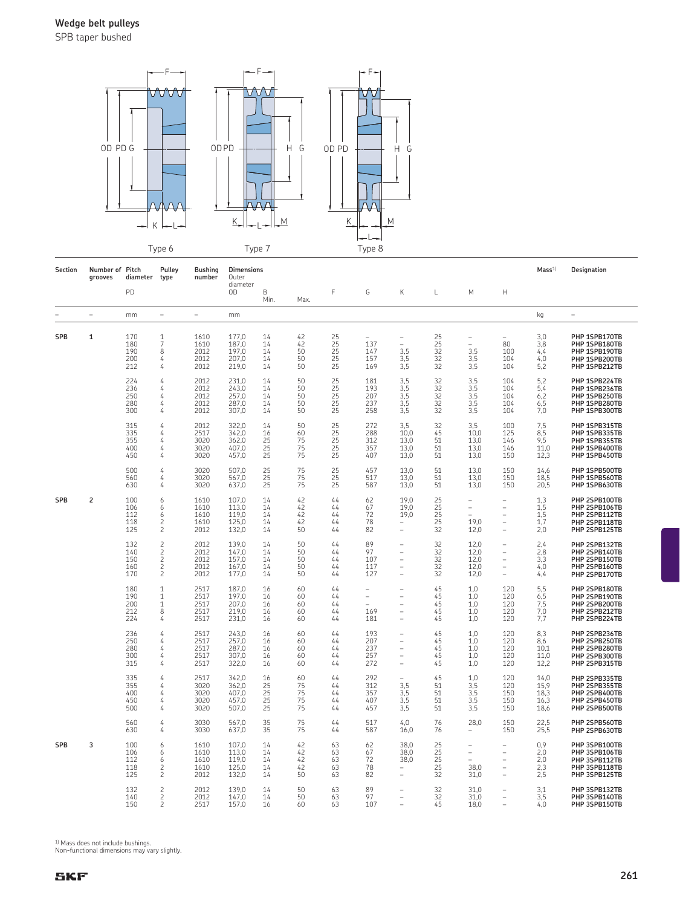SPB taper bushed



| Section    | Number of Pitch<br>grooves | diameter                        | Pulley<br>type                                                                         | <b>Bushing</b><br>number             | Dimensions<br>Outer                       |                            |                            |                                                           |                                 |                                                                  |                                         |                                                                           |                                                                                    | Mass <sup>1</sup>                    | Designation                                                                       |
|------------|----------------------------|---------------------------------|----------------------------------------------------------------------------------------|--------------------------------------|-------------------------------------------|----------------------------|----------------------------|-----------------------------------------------------------|---------------------------------|------------------------------------------------------------------|-----------------------------------------|---------------------------------------------------------------------------|------------------------------------------------------------------------------------|--------------------------------------|-----------------------------------------------------------------------------------|
|            |                            | PD                              |                                                                                        |                                      | diameter<br>OD                            | B<br>Min.                  | Max.                       | F                                                         | G                               | Κ                                                                | L                                       | M                                                                         | Н                                                                                  |                                      |                                                                                   |
|            | $\overline{\phantom{a}}$   | mm                              | $\sim$                                                                                 | ÷                                    | mm                                        |                            |                            |                                                           |                                 |                                                                  |                                         |                                                                           |                                                                                    | kg                                   | $\overline{\phantom{a}}$                                                          |
| SPB        | 1                          | 170<br>180<br>190<br>200<br>212 | $\frac{1}{7}$<br>8<br>4<br>4                                                           | 1610<br>1610<br>2012<br>2012<br>2012 | 177.0<br>187.0<br>197,0<br>207.0<br>219,0 | 14<br>14<br>14<br>14<br>14 | 42<br>42<br>50<br>50<br>50 | $\begin{array}{c} 25 \\ 25 \end{array}$<br>25<br>25<br>25 | 137<br>147<br>157<br>169        | $\overline{\phantom{0}}$<br>÷,<br>3,5<br>3,5<br>3,5              | 25<br>$\overline{25}$<br>32<br>32<br>32 | $\overline{\phantom{0}}$<br>$\overline{\phantom{m}}$<br>3,5<br>3,5<br>3,5 | 80<br>100<br>104<br>104                                                            | 3,0<br>3,8<br>4,4<br>4,0<br>5,2      | PHP 1SPB170TB<br>PHP 1SPB180TB<br>PHP 1SPB190TB<br>PHP 1SPB200TB<br>PHP 1SPB212TB |
|            |                            | 224<br>236<br>250<br>280<br>300 | 4<br>4<br>4<br>4<br>4                                                                  | 2012<br>2012<br>2012<br>2012<br>2012 | 231,0<br>243,0<br>257,0<br>287,0<br>307,0 | 14<br>14<br>14<br>14<br>14 | 50<br>50<br>50<br>50<br>50 | 25<br>25<br>25<br>25<br>25                                | 181<br>193<br>207<br>237<br>258 | 3,5<br>3,5<br>3,5<br>3,5<br>3,5                                  | 32<br>32<br>32<br>32<br>32              | 3,5<br>3,5<br>3,5<br>3,5<br>3,5                                           | 104<br>104<br>104<br>104<br>104                                                    | 5,2<br>5,4<br>6,2<br>6,5<br>7,0      | PHP 1SPB224TB<br>PHP 1SPB236TB<br>PHP 1SPB250TB<br>PHP 1SPB280TB<br>PHP 1SPB300TB |
|            |                            | 315<br>335<br>355<br>400<br>450 | 4<br>4<br>4<br>4<br>4                                                                  | 2012<br>2517<br>3020<br>3020<br>3020 | 322,0<br>342,0<br>362,0<br>407,0<br>457,0 | 14<br>16<br>25<br>25<br>25 | 50<br>60<br>75<br>75<br>75 | 25<br>25<br>25<br>25<br>25                                | 272<br>288<br>312<br>357<br>407 | 3,5<br>10.0<br>13,0<br>13,0<br>13,0                              | 32<br>45<br>51<br>51<br>51              | 3,5<br>10.0<br>13,0<br>13,0<br>13,0                                       | 100<br>125<br>146<br>146<br>150                                                    | 7,5<br>8,5<br>9,5<br>11,0<br>12,3    | PHP 1SPB315TB<br>PHP 1SPB335TB<br>PHP 1SPB355TB<br>PHP 1SPB400TB<br>PHP 1SPB450TB |
|            |                            | 500<br>560<br>630               | 4<br>4<br>4                                                                            | 3020<br>3020<br>3020                 | 507.0<br>567,0<br>637,0                   | 25<br>25<br>25             | 75<br>75<br>75             | 25<br>25<br>25                                            | 457<br>517<br>587               | 13.0<br>13,0<br>13,0                                             | 51<br>51<br>51                          | 13.0<br>13,0<br>13,0                                                      | 150<br>150<br>150                                                                  | 14,6<br>18,5<br>20,5                 | PHP 1SPB500TB<br>PHP 1SPB560TB<br>PHP 1SPB630TB                                   |
| <b>SPB</b> | 2                          | 100<br>106<br>112<br>118<br>125 | 6<br>6<br>6<br>2<br>$\overline{c}$                                                     | 1610<br>1610<br>1610<br>1610<br>2012 | 107,0<br>113,0<br>119,0<br>125,0<br>132,0 | 14<br>14<br>14<br>14<br>14 | 42<br>42<br>42<br>42<br>50 | 44<br>44<br>44<br>44<br>44                                | 62<br>67<br>72<br>78<br>82      | 19,0<br>19,0<br>19,0<br>$\overline{\phantom{0}}$                 | 25<br>25<br>25<br>25<br>32              | $\overline{\phantom{a}}$<br>$\qquad \qquad -$<br>$\equiv$<br>19,0<br>12,0 | ۰<br>÷,<br>÷,<br>$\qquad \qquad -$<br>L.                                           | 1,3<br>1,5<br>1,5<br>1,7<br>2,0      | PHP 2SPB100TB<br>PHP 2SPB106TB<br>PHP 2SPB112TB<br>PHP 2SPB118TB<br>PHP 2SPB125TB |
|            |                            | 132<br>140<br>150<br>160<br>170 | $\overline{c}$<br>$\overline{c}$<br>$\overline{c}$<br>$\overline{c}$<br>$\overline{c}$ | 2012<br>2012<br>2012<br>2012<br>2012 | 139,0<br>147,0<br>157,0<br>167,0<br>177,0 | 14<br>14<br>14<br>14<br>14 | 50<br>50<br>50<br>50<br>50 | 44<br>44<br>44<br>44<br>44                                | 89<br>97<br>107<br>117<br>127   | $\overline{\phantom{0}}$<br>$\overline{\phantom{0}}$<br>Ĭ.<br>L, | 32<br>32<br>32<br>32<br>32              | 12,0<br>12,0<br>12,0<br>12,0<br>12,0                                      | ÷,<br>$\overline{\phantom{0}}$<br>$\overline{\phantom{0}}$<br>$\overline{a}$<br>L, | 2,4<br>2,8<br>3,3<br>4,0<br>4,4      | PHP 2SPB132TB<br>PHP 2SPB140TB<br>PHP 2SPB150TB<br>PHP 2SPB160TB<br>PHP 2SPB170TB |
|            |                            | 180<br>190<br>200<br>212<br>224 | $\mathbf{1}$<br>$\mathbf{1}$<br>$\mathbf{1}$<br>8<br>4                                 | 2517<br>2517<br>2517<br>2517<br>2517 | 187.0<br>197.0<br>207,0<br>219.0<br>231,0 | 16<br>16<br>16<br>16<br>16 | 60<br>60<br>60<br>60<br>60 | 44<br>44<br>44<br>44<br>44                                | L,<br>169<br>181                | $\qquad \qquad -$                                                | 45<br>45<br>45<br>45<br>45              | 1.0<br>1.0<br>1,0<br>1,0<br>1,0                                           | 120<br>120<br>120<br>120<br>120                                                    | 5,5<br>6,5<br>7,5<br>7,0<br>7,7      | PHP 2SPB180TB<br>PHP 2SPB190TB<br>PHP 2SPB200TB<br>PHP 2SPB212TB<br>PHP 2SPB224TB |
|            |                            | 236<br>250<br>280<br>300<br>315 | 4<br>4<br>4<br>4<br>4                                                                  | 2517<br>2517<br>2517<br>2517<br>2517 | 243,0<br>257.0<br>287.0<br>307,0<br>322,0 | 16<br>16<br>16<br>16<br>16 | 60<br>60<br>60<br>60<br>60 | 44<br>44<br>44<br>44<br>44                                | 193<br>207<br>237<br>257<br>272 | ۰<br>۰<br>۰<br>$\equiv$<br>÷                                     | 45<br>45<br>45<br>45<br>45              | 1,0<br>1,0<br>1.0<br>1,0<br>1,0                                           | 120<br>120<br>120<br>120<br>120                                                    | 8,3<br>8,6<br>10.1<br>11,0<br>12,2   | PHP 2SPB236TB<br>PHP 2SPB250TB<br>PHP 2SPB280TB<br>PHP 2SPB300TB<br>PHP 2SPB315TB |
|            |                            | 335<br>355<br>400<br>450<br>500 | 4<br>4<br>4<br>4<br>4                                                                  | 2517<br>3020<br>3020<br>3020<br>3020 | 342,0<br>362,0<br>407,0<br>457,0<br>507,0 | 16<br>25<br>25<br>25<br>25 | 60<br>75<br>75<br>75<br>75 | 44<br>44<br>44<br>44<br>44                                | 292<br>312<br>357<br>407<br>457 | 3,5<br>3,5<br>3,5<br>3,5                                         | 45<br>51<br>51<br>51<br>51              | 1,0<br>3,5<br>3,5<br>3,5<br>3,5                                           | 120<br>120<br>150<br>150<br>150                                                    | 14,0<br>15,9<br>18,3<br>16,3<br>18,6 | PHP 2SPB335TB<br>PHP 2SPB355TB<br>PHP 2SPB400TB<br>PHP 2SPB450TB<br>PHP 2SPB500TB |
|            |                            | 560<br>630                      | 4<br>4                                                                                 | 3030<br>3030                         | 567,0<br>637,0                            | 35<br>35                   | 75<br>75                   | 44<br>44                                                  | 517<br>587                      | 4,0<br>16,0                                                      | 76<br>76                                | 28,0                                                                      | 150<br>150                                                                         | 22,5<br>25,5                         | PHP 2SPB560TB<br>PHP 2SPB630TB                                                    |
| <b>SPB</b> | 3                          | 100<br>106<br>112<br>118<br>125 | 6<br>6<br>6<br>2<br>$\overline{c}$                                                     | 1610<br>1610<br>1610<br>1610<br>2012 | 107.0<br>113.0<br>119.0<br>125,0<br>132,0 | 14<br>14<br>14<br>14<br>14 | 42<br>42<br>42<br>42<br>50 | 63<br>63<br>63<br>63<br>63                                | 62<br>67<br>72<br>78<br>82      | 38.0<br>38.0<br>38.0                                             | 25<br>25<br>$\overline{25}$<br>25<br>32 | $\overline{\phantom{m}}$<br>38,0<br>31,0                                  | $\overline{a}$<br>L,<br>÷,<br>L.                                                   | 0.9<br>2,0<br>2,0<br>2,3<br>2,5      | PHP 3SPB100TB<br>PHP 3SPB106TB<br>PHP 3SPB112TB<br>PHP 3SPB118TB<br>PHP 3SPB125TB |
|            |                            | 132<br>140<br>150               | 2<br>2<br>$\mathcal{P}$                                                                | 2012<br>2012<br>2517                 | 139,0<br>147,0<br>157,0                   | 14<br>14<br>16             | 50<br>50<br>60             | 63<br>63<br>63                                            | 89<br>97<br>107                 |                                                                  | 32<br>32<br>45                          | 31,0<br>31,0<br>18,0                                                      | $\qquad \qquad -$<br>÷,                                                            | 3,1<br>3,5<br>4,0                    | PHP 3SPB132TB<br>PHP 3SPB140TB<br>PHP 3SPB150TB                                   |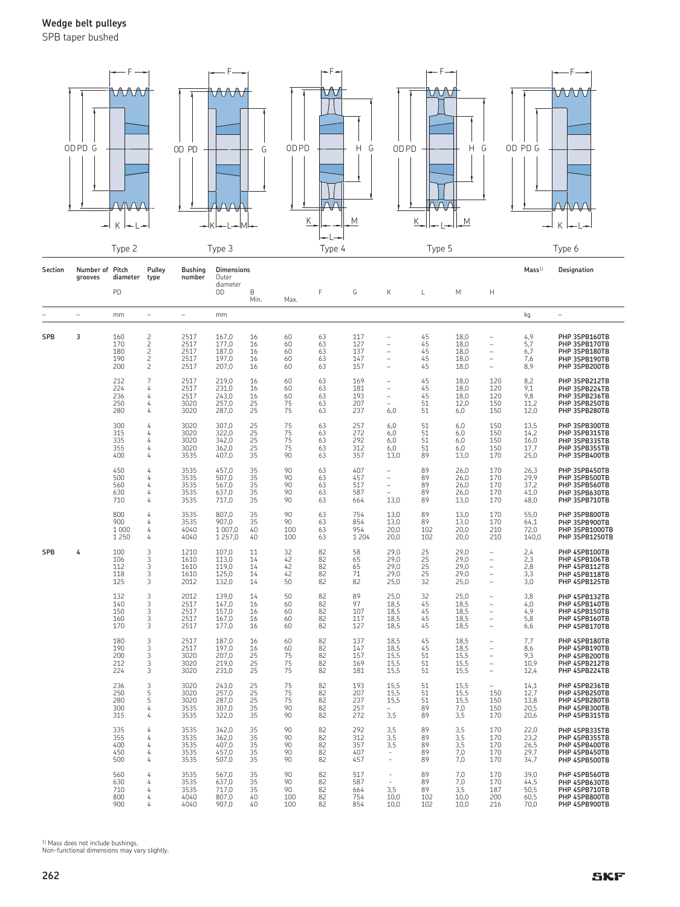SPB taper bushed



| Section    | Number of Pitch<br>grooves | diameter                         | Pulley<br>type                                                                        | <b>Bushing</b><br>number             | <b>Dimensions</b><br>Outer                |                            |                              |                            |                                 |                                      |                              |                                      |                                                                    | Mass <sup>1</sup>                    | Designation                                                                       |
|------------|----------------------------|----------------------------------|---------------------------------------------------------------------------------------|--------------------------------------|-------------------------------------------|----------------------------|------------------------------|----------------------------|---------------------------------|--------------------------------------|------------------------------|--------------------------------------|--------------------------------------------------------------------|--------------------------------------|-----------------------------------------------------------------------------------|
|            |                            | PD                               |                                                                                       |                                      | diameter<br>0D                            | B<br>Min.                  | Max.                         | F                          | G                               | Κ                                    | L                            | M                                    | Н                                                                  |                                      |                                                                                   |
|            | $\overline{\phantom{a}}$   | mm                               | $\equiv$                                                                              | $\overline{\phantom{m}}$             | mm                                        |                            |                              |                            |                                 |                                      |                              |                                      |                                                                    | kg                                   | ÷,                                                                                |
| <b>SPB</b> | 3                          | 160<br>170<br>180<br>190<br>200  | $\frac{2}{2}$<br>$\overline{\mathbf{c}}$<br>$\overline{\mathbf{c}}$<br>$\overline{c}$ | 2517<br>2517<br>2517<br>2517<br>2517 | 167,0<br>177,0<br>187,0<br>197,0<br>207,0 | 16<br>16<br>16<br>16<br>16 | 60<br>60<br>60<br>60<br>60   | 63<br>63<br>63<br>63<br>63 | 117<br>127<br>137<br>147<br>157 | ۳<br>L,<br>۳<br>۳<br>۳               | 45<br>45<br>45<br>45<br>45   | 18,0<br>18,0<br>18,0<br>18,0<br>18,0 | $\overline{\phantom{0}}$<br>$\equiv$<br>$\equiv$<br>$\equiv$<br>L. | 4,9<br>5,7<br>6,7<br>7,6<br>8,9      | PHP 3SPB160TB<br>PHP 3SPB170TB<br>PHP 3SPB180TB<br>PHP 3SPB190TB<br>PHP 3SPB200TB |
|            |                            | 212<br>224<br>236<br>250<br>280  | $\overline{7}$<br>4<br>4<br>4<br>4                                                    | 2517<br>2517<br>2517<br>3020<br>3020 | 219,0<br>231,0<br>243,0<br>257,0<br>287,0 | 16<br>16<br>16<br>25<br>25 | 60<br>60<br>60<br>75<br>75   | 63<br>63<br>63<br>63<br>63 | 169<br>181<br>193<br>207<br>237 | ۳<br>۳<br>L,<br>۰<br>6,0             | 45<br>45<br>45<br>51<br>51   | 18,0<br>18,0<br>18,0<br>12,0<br>6,0  | 120<br>120<br>120<br>150<br>150                                    | 8,2<br>9,1<br>9,8<br>11,2<br>12,0    | PHP 3SPB212TB<br>PHP 3SPB224TB<br>PHP 3SPB236TB<br>PHP 3SPB250TB<br>PHP 3SPB280TB |
|            |                            | 300<br>315<br>335<br>355<br>400  | 4<br>4<br>4<br>4<br>4                                                                 | 3020<br>3020<br>3020<br>3020<br>3535 | 307,0<br>322,0<br>342,0<br>362,0<br>407,0 | 25<br>25<br>25<br>25<br>35 | 75<br>75<br>75<br>75<br>90   | 63<br>63<br>63<br>63<br>63 | 257<br>272<br>292<br>312<br>357 | 6,0<br>6,0<br>6,0<br>6,0<br>13,0     | 51<br>51<br>51<br>51<br>89   | 6,0<br>6,0<br>6,0<br>6,0<br>13,0     | 150<br>150<br>150<br>150<br>170                                    | 13,5<br>14,2<br>16,0<br>17,7<br>25,0 | PHP 3SPB300TB<br>PHP 3SPB315TB<br>PHP 3SPB335TB<br>PHP 3SPB355TB<br>PHP 3SPB400TB |
|            |                            | 450<br>500<br>560<br>630<br>710  | 4<br>4<br>4<br>4<br>4                                                                 | 3535<br>3535<br>3535<br>3535<br>3535 | 457,0<br>507,0<br>567,0<br>637,0<br>717,0 | 35<br>35<br>35<br>35<br>35 | 90<br>90<br>90<br>90<br>90   | 63<br>63<br>63<br>63<br>63 | 407<br>457<br>517<br>587<br>664 | ۳<br>Ĭ.<br>Ĭ.<br>13,0                | 89<br>89<br>89<br>89<br>89   | 26,0<br>26,0<br>26,0<br>26,0<br>13,0 | 170<br>170<br>170<br>170<br>170                                    | 26,3<br>29,9<br>37,2<br>41,0<br>48,0 | PHP 3SPB450TB<br>PHP 3SPB500TB<br>PHP 3SPB560TB<br>PHP 3SPB630TB<br>PHP 3SPB710TB |
|            |                            | 800<br>900<br>1 0 0 0<br>1 2 5 0 | 4<br>4<br>4<br>4                                                                      | 3535<br>3535<br>4040<br>4040         | 807,0<br>907.0<br>1 007,0<br>1 257,0      | 35<br>35<br>40<br>40       | 90<br>90<br>100<br>100       | 63<br>63<br>63<br>63       | 754<br>854<br>954<br>1 2 0 4    | 13,0<br>13,0<br>20,0<br>20,0         | 89<br>89<br>102<br>102       | 13,0<br>13.0<br>20,0<br>20,0         | 170<br>170<br>210<br>210                                           | 55,0<br>64,1<br>72,0<br>140,0        | PHP 3SPB800TB<br>PHP 3SPB900TB<br>PHP 3SPB1000TB<br>PHP 3SPB1250TB                |
| SPB        | 4                          | 100<br>106<br>112<br>118<br>125  | 3<br>3<br>3<br>3<br>3                                                                 | 1210<br>1610<br>1610<br>1610<br>2012 | 107.0<br>113.0<br>119,0<br>125,0<br>132,0 | 11<br>14<br>14<br>14<br>14 | 32<br>42<br>42<br>42<br>50   | 82<br>82<br>82<br>82<br>82 | 58<br>65<br>65<br>71<br>82      | 29.0<br>29.0<br>29,0<br>29,0<br>25,0 | 25<br>25<br>25<br>25<br>32   | 29.0<br>29.0<br>29,0<br>29,0<br>25,0 | ۰<br>L,<br>$\overline{\phantom{0}}$<br>$\overline{\phantom{0}}$    | 2,4<br>2,3<br>2,8<br>3,3<br>3,0      | PHP 4SPB100TB<br>PHP 4SPB106TB<br>PHP 4SPB112TB<br>PHP 4SPB118TB<br>PHP 4SPB125TB |
|            |                            | 132<br>140<br>150<br>160<br>170  | 3<br>3<br>3<br>3<br>3                                                                 | 2012<br>2517<br>2517<br>2517<br>2517 | 139,0<br>147,0<br>157,0<br>167,0<br>177,0 | 14<br>16<br>16<br>16<br>16 | 50<br>60<br>60<br>60<br>60   | 82<br>82<br>82<br>82<br>82 | 89<br>97<br>107<br>117<br>127   | 25,0<br>18,5<br>18,5<br>18,5<br>18,5 | 32<br>45<br>45<br>45<br>45   | 25,0<br>18,5<br>18,5<br>18,5<br>18,5 | L,<br>$\overline{\phantom{0}}$<br>$\overline{\phantom{0}}$         | 3,8<br>4,0<br>4,9<br>5,8<br>6,6      | PHP 4SPB132TB<br>PHP 4SPB140TB<br>PHP 4SPB150TB<br>PHP 4SPB160TB<br>PHP 4SPB170TB |
|            |                            | 180<br>190<br>200<br>212<br>224  | 3<br>3<br>3<br>3<br>3                                                                 | 2517<br>2517<br>3020<br>3020<br>3020 | 187,0<br>197,0<br>207,0<br>219,0<br>231,0 | 16<br>16<br>25<br>25<br>25 | 60<br>60<br>75<br>75<br>75   | 82<br>82<br>82<br>82<br>82 | 137<br>147<br>157<br>169<br>181 | 18,5<br>18,5<br>15,5<br>15,5<br>15,5 | 45<br>45<br>51<br>51<br>51   | 18,5<br>18,5<br>15,5<br>15,5<br>15,5 | L.<br>$\equiv$<br>$\equiv$                                         | 7,7<br>8,6<br>9,3<br>10,9<br>12,4    | PHP 4SPB180TB<br>PHP 4SPB190TB<br>PHP 4SPB200TB<br>PHP 4SPB212TB<br>PHP 4SPB224TB |
|            |                            | 236<br>250<br>280<br>300<br>315  | 3<br>5<br>5<br>4<br>4                                                                 | 3020<br>3020<br>3020<br>3535<br>3535 | 243,0<br>257,0<br>287,0<br>307,0<br>322,0 | 25<br>25<br>25<br>35<br>35 | 75<br>75<br>75<br>90<br>90   | 82<br>82<br>82<br>82<br>82 | 193<br>207<br>237<br>257<br>272 | 15,5<br>15,5<br>15,5<br>3,5          | 51<br>51<br>51<br>89<br>89   | 15,5<br>15,5<br>15,5<br>7,0<br>3,5   | 150<br>150<br>150<br>170                                           | 14,1<br>12,7<br>13,8<br>20,5<br>20,6 | PHP 4SPB236TB<br>PHP 4SPB250TB<br>PHP 4SPB280TB<br>PHP 4SPB300TB<br>PHP 4SPB315TB |
|            |                            | 335<br>355<br>400<br>450<br>500  | 4<br>4<br>4<br>4<br>4                                                                 | 3535<br>3535<br>3535<br>3535<br>3535 | 342,0<br>362,0<br>407,0<br>457,0<br>507,0 | 35<br>35<br>35<br>35<br>35 | 90<br>90<br>90<br>90<br>90   | 82<br>82<br>82<br>82<br>82 | 292<br>312<br>357<br>407<br>457 | 3,5<br>3,5<br>3,5<br>$\overline{a}$  | 89<br>89<br>89<br>89<br>89   | 3,5<br>3,5<br>3,5<br>7,0<br>7,0      | 170<br>170<br>170<br>170<br>170                                    | 22,0<br>23,2<br>26,5<br>29,7<br>34,7 | PHP 4SPB335TB<br>PHP 4SPB355TB<br>PHP 4SPB400TB<br>PHP 4SPB450TB<br>PHP 4SPB500TB |
|            |                            | 560<br>630<br>710<br>800<br>900  | 4<br>4<br>4<br>4<br>4                                                                 | 3535<br>3535<br>3535<br>4040<br>4040 | 567,0<br>637,0<br>717,0<br>807.0<br>907,0 | 35<br>35<br>35<br>40<br>40 | 90<br>90<br>90<br>100<br>100 | 82<br>82<br>82<br>82<br>82 | 517<br>587<br>664<br>754<br>854 | 3,5<br>10,0<br>10,0                  | 89<br>89<br>89<br>102<br>102 | 7,0<br>7,0<br>3,5<br>10,0<br>10,0    | 170<br>170<br>187<br>200<br>216                                    | 39,0<br>44,5<br>50,5<br>60,5<br>70,0 | PHP 4SPB560TB<br>PHP 4SPB630TB<br>PHP 4SPB710TB<br>PHP 4SPB800TB<br>PHP 4SPB900TB |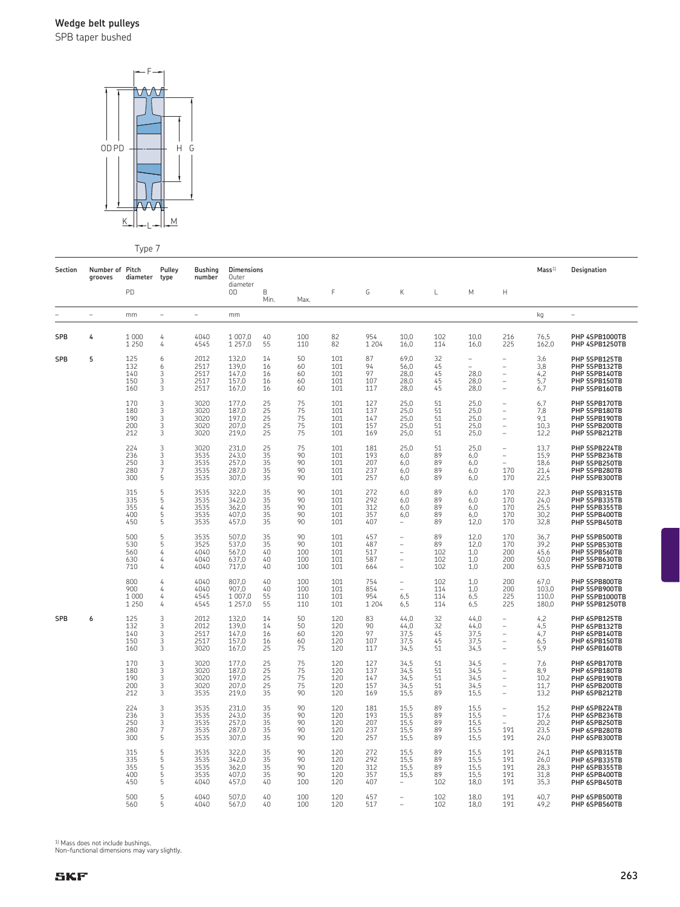SPB taper bushed



Type 7

|            |                            | . <i>.</i> .                     |                                    |                                      |                                           |                            |                               |                                 |                                 |                                                                                                                   |                               |                                                |                                                                                                                            |                                      |                                                                                   |
|------------|----------------------------|----------------------------------|------------------------------------|--------------------------------------|-------------------------------------------|----------------------------|-------------------------------|---------------------------------|---------------------------------|-------------------------------------------------------------------------------------------------------------------|-------------------------------|------------------------------------------------|----------------------------------------------------------------------------------------------------------------------------|--------------------------------------|-----------------------------------------------------------------------------------|
| Section    | Number of Pitch<br>grooves | diameter                         | Pulley<br>type                     | <b>Bushing</b><br>number             | <b>Dimensions</b><br>Outer                |                            |                               |                                 |                                 |                                                                                                                   |                               |                                                |                                                                                                                            | Mass <sup>1</sup>                    | Designation                                                                       |
|            |                            | PD                               |                                    |                                      | diameter<br>OD                            | B<br>Min.                  | Max.                          | F                               | G                               | Κ                                                                                                                 | L                             | M                                              | Н                                                                                                                          |                                      |                                                                                   |
|            | $\equiv$                   | mm                               | $\equiv$                           | $\equiv$                             | mm                                        |                            |                               |                                 |                                 |                                                                                                                   |                               |                                                |                                                                                                                            | kg                                   | $\overline{\phantom{a}}$                                                          |
| <b>SPB</b> | 4                          | 1 0 0 0<br>1 2 5 0               | 4<br>4                             | 4040<br>4545                         | 1 007.0<br>1 2 5 7 , 0                    | 40<br>55                   | 100<br>110                    | 82<br>82                        | 954<br>1 2 0 4                  | 10.0<br>16,0                                                                                                      | 102<br>114                    | 10.0<br>16,0                                   | 216<br>225                                                                                                                 | 76.5<br>162,0                        | PHP 4SPB1000TB<br>PHP 4SPB1250TB                                                  |
| <b>SPB</b> | 5                          | 125<br>132<br>140<br>150<br>160  | 6<br>6<br>3<br>3<br>3              | 2012<br>2517<br>2517<br>2517<br>2517 | 132,0<br>139,0<br>147,0<br>157,0<br>167,0 | 14<br>16<br>16<br>16<br>16 | 50<br>60<br>60<br>60<br>60    | 101<br>101<br>101<br>101<br>101 | 87<br>94<br>97<br>107<br>117    | 69,0<br>56,0<br>28,0<br>28,0<br>28,0                                                                              | 32<br>45<br>45<br>45<br>45    | $\qquad \qquad -$<br>÷<br>28,0<br>28,0<br>28,0 | $\overline{\phantom{0}}$<br>$\overline{\phantom{a}}$<br>$\qquad \qquad -$<br>$\qquad \qquad -$<br>$\overline{\phantom{a}}$ | 3,6<br>3,8<br>4,2<br>5,7<br>6,7      | PHP 5SPB125TB<br>PHP 5SPB132TB<br>PHP 5SPB140TB<br>PHP 5SPB150TB<br>PHP 5SPB160TB |
|            |                            | 170<br>180<br>190<br>200<br>212  | 3<br>3<br>3<br>3<br>3              | 3020<br>3020<br>3020<br>3020<br>3020 | 177,0<br>187,0<br>197,0<br>207.0<br>219,0 | 25<br>25<br>25<br>25<br>25 | 75<br>75<br>75<br>75<br>75    | 101<br>101<br>101<br>101<br>101 | 127<br>137<br>147<br>157<br>169 | 25,0<br>25,0<br>25,0<br>25,0<br>25,0                                                                              | 51<br>51<br>51<br>51<br>51    | 25,0<br>25,0<br>25,0<br>25,0<br>25,0           | ÷,<br>÷,<br>÷,<br>L,<br>$\overline{\phantom{a}}$                                                                           | 6,7<br>7,8<br>9,1<br>10,3<br>12,2    | PHP 5SPB170TB<br>PHP 5SPB180TB<br>PHP 5SPB190TB<br>PHP 5SPB200TB<br>PHP 5SPB212TB |
|            |                            | 224<br>236<br>250<br>280<br>300  | 3<br>3<br>3<br>$\overline{7}$<br>5 | 3020<br>3535<br>3535<br>3535<br>3535 | 231,0<br>243,0<br>257,0<br>287,0<br>307.0 | 25<br>35<br>35<br>35<br>35 | 75<br>90<br>90<br>90<br>90    | 101<br>101<br>101<br>101<br>101 | 181<br>193<br>207<br>237<br>257 | 25,0<br>6,0<br>6,0<br>6,0<br>6,0                                                                                  | 51<br>89<br>89<br>89<br>89    | 25,0<br>6,0<br>6,0<br>6,0<br>6,0               | $\overline{a}$<br>$\overline{\phantom{0}}$<br>170<br>170                                                                   | 13,7<br>15,9<br>18,6<br>21,4<br>22,5 | PHP 5SPB224TB<br>PHP 5SPB236TB<br>PHP 5SPB250TB<br>PHP 5SPB280TB<br>PHP 5SPB300TB |
|            |                            | 315<br>335<br>355<br>400<br>450  | 5<br>5<br>4<br>5<br>5              | 3535<br>3535<br>3535<br>3535<br>3535 | 322,0<br>342,0<br>362,0<br>407,0<br>457,0 | 35<br>35<br>35<br>35<br>35 | 90<br>90<br>90<br>90<br>90    | 101<br>101<br>101<br>101<br>101 | 272<br>292<br>312<br>357<br>407 | 6,0<br>6,0<br>6,0<br>6,0<br>$\equiv$                                                                              | 89<br>89<br>89<br>89<br>89    | 6,0<br>6,0<br>6,0<br>6,0<br>12,0               | 170<br>170<br>170<br>170<br>170                                                                                            | 22,3<br>24,0<br>25,5<br>30,2<br>32,8 | PHP 5SPB315TB<br>PHP 5SPB335TB<br>PHP 5SPB355TB<br>PHP 5SPB400TB<br>PHP 5SPB450TB |
|            |                            | 500<br>530<br>560<br>630<br>710  | 5<br>5<br>4<br>4<br>4              | 3535<br>3525<br>4040<br>4040<br>4040 | 507,0<br>537,0<br>567,0<br>637,0<br>717,0 | 35<br>35<br>40<br>40<br>40 | 90<br>90<br>100<br>100<br>100 | 101<br>101<br>101<br>101<br>101 | 457<br>487<br>517<br>587<br>664 | $\overline{\phantom{a}}$<br>$\overline{\phantom{m}}$<br>$\overline{\phantom{m}}$<br>$\qquad \qquad -$<br>$\equiv$ | 89<br>89<br>102<br>102<br>102 | 12,0<br>12,0<br>1,0<br>1,0<br>1,0              | 170<br>170<br>200<br>200<br>200                                                                                            | 36,7<br>39,2<br>45,6<br>50,0<br>63,5 | PHP 5SPB500TB<br>PHP 5SPB530TB<br>PHP 5SPB560TB<br>PHP 5SPB630TB<br>PHP 5SPB710TB |
|            |                            | 800<br>900<br>1 0 0 0<br>1 2 5 0 | 4<br>4<br>4<br>4                   | 4040<br>4040<br>4545<br>4545         | 807.0<br>907.0<br>1 007,0<br>1 257,0      | 40<br>40<br>55<br>55       | 100<br>100<br>110<br>110      | 101<br>101<br>101<br>101        | 754<br>854<br>954<br>1 2 0 4    | ÷,<br>÷,<br>6,5<br>6,5                                                                                            | 102<br>114<br>114<br>114      | 1,0<br>1,0<br>6,5<br>6,5                       | 200<br>200<br>225<br>225                                                                                                   | 67,0<br>103,0<br>110.0<br>180,0      | PHP 5SPB800TB<br>PHP 5SPB900TB<br>PHP 5SPB1000TB<br>PHP 5SPB1250TB                |
| <b>SPB</b> | 6                          | 125<br>132<br>140<br>150<br>160  | 3<br>3<br>3<br>3<br>3              | 2012<br>2012<br>2517<br>2517<br>3020 | 132,0<br>139,0<br>147,0<br>157.0<br>167,0 | 14<br>14<br>16<br>16<br>25 | 50<br>50<br>60<br>60<br>75    | 120<br>120<br>120<br>120<br>120 | 83<br>90<br>97<br>107<br>117    | 44,0<br>44,0<br>37.5<br>37,5<br>34,5                                                                              | 32<br>32<br>45<br>45<br>51    | 44,0<br>44,0<br>37,5<br>37,5<br>34,5           | $\overline{\phantom{0}}$<br>L,<br>$\overline{\phantom{a}}$<br>$\overline{\phantom{a}}$<br>$\overline{\phantom{a}}$         | $4,2$<br>$4,5$<br>4,7<br>6,5<br>5,9  | PHP 6SPB125TB<br>PHP 6SPB132TB<br>PHP 6SPB140TB<br>PHP 6SPB150TB<br>PHP 6SPB160TB |
|            |                            | 170<br>180<br>190<br>200<br>212  | 3<br>3<br>3<br>3<br>3              | 3020<br>3020<br>3020<br>3020<br>3535 | 177,0<br>187.0<br>197.0<br>207.0<br>219,0 | 25<br>25<br>25<br>25<br>35 | 75<br>75<br>75<br>75<br>90    | 120<br>120<br>120<br>120<br>120 | 127<br>137<br>147<br>157<br>169 | 34,5<br>34.5<br>34,5<br>34.5<br>15,5                                                                              | 51<br>51<br>51<br>51<br>89    | 34,5<br>34.5<br>34,5<br>34.5<br>15,5           | L,<br>L,<br>L,<br>÷,                                                                                                       | 7,6<br>8.9<br>10.2<br>11.7<br>13,2   | PHP 6SPB170TB<br>PHP 6SPB180TB<br>PHP 6SPB190TB<br>PHP 6SPB200TB<br>PHP 6SPB212TB |
|            |                            | 224<br>236<br>250<br>280<br>300  | 3<br>3<br>3<br>7<br>5              | 3535<br>3535<br>3535<br>3535<br>3535 | 231,0<br>243,0<br>257.0<br>287,0<br>307,0 | 35<br>35<br>35<br>35<br>35 | 90<br>90<br>90<br>90<br>90    | 120<br>120<br>120<br>120<br>120 | 181<br>193<br>207<br>237<br>257 | 15.5<br>15,5<br>15.5<br>15,5<br>15,5                                                                              | 89<br>89<br>89<br>89<br>89    | 15.5<br>15,5<br>15.5<br>15,5<br>15,5           | $\overline{\phantom{a}}$<br>$\overline{\phantom{a}}$<br>191<br>191                                                         | 15.2<br>17,6<br>20.2<br>23,5<br>24,0 | PHP 6SPB224TB<br>PHP 6SPB236TB<br>PHP 6SPB250TB<br>PHP 6SPB280TB<br>PHP 6SPB300TB |
|            |                            | 315<br>335<br>355<br>400<br>450  | 5<br>5<br>5<br>5<br>5              | 3535<br>3535<br>3535<br>3535<br>4040 | 322,0<br>342,0<br>362,0<br>407,0<br>457,0 | 35<br>35<br>35<br>35<br>40 | 90<br>90<br>90<br>90<br>100   | 120<br>120<br>120<br>120<br>120 | 272<br>292<br>312<br>357<br>407 | 15,5<br>15,5<br>15,5<br>15,5                                                                                      | 89<br>89<br>89<br>89<br>102   | 15,5<br>15,5<br>15,5<br>15,5<br>18,0           | 191<br>191<br>191<br>191<br>191                                                                                            | 24,1<br>26,0<br>28,3<br>31,8<br>35,3 | PHP 6SPB315TB<br>PHP 6SPB335TB<br>PHP 6SPB355TB<br>PHP 6SPB400TB<br>PHP 6SPB450TB |
|            |                            | 500<br>560                       | 5<br>5                             | 4040<br>4040                         | 507.0<br>567,0                            | 40<br>40                   | 100<br>100                    | 120<br>120                      | 457<br>517                      |                                                                                                                   | 102<br>102                    | 18.0<br>18,0                                   | 191<br>191                                                                                                                 | 40.7<br>49,2                         | PHP 6SPB500TB<br>PHP 6SPB560TB                                                    |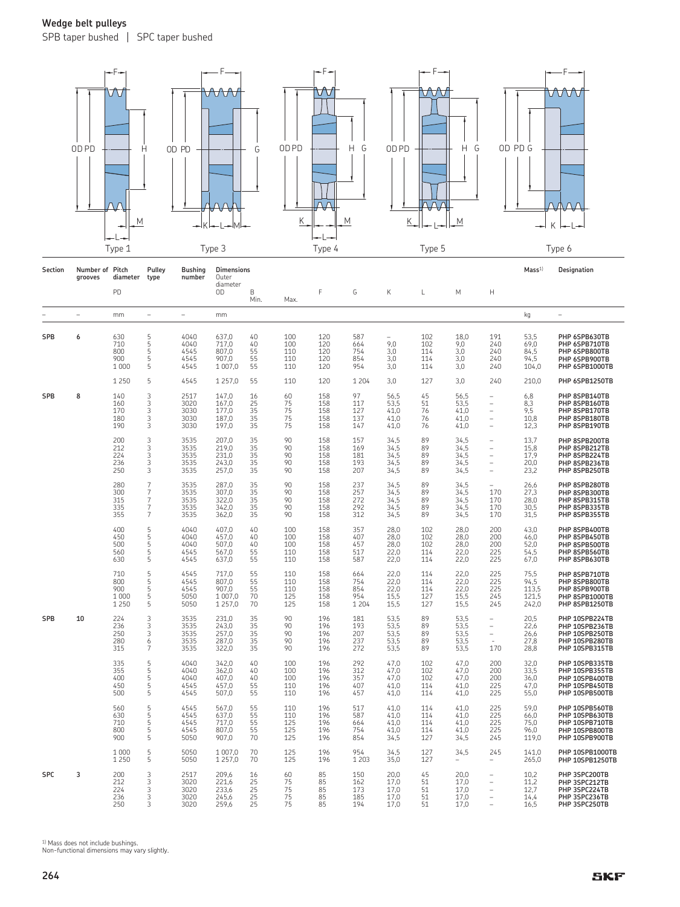SPB taper bushed | SPC taper bushed



| Section    | Number of Pitch<br>grooves | diameter                              | Pulley<br>type                                                            | <b>Bushing</b><br>number             | <b>Dimensions</b><br>Outer                      |                            |                                 |                                 |                                     |                                      |                                 |                                      |                                                        | Mass <sup>1</sup>                       | Designation                                                                            |
|------------|----------------------------|---------------------------------------|---------------------------------------------------------------------------|--------------------------------------|-------------------------------------------------|----------------------------|---------------------------------|---------------------------------|-------------------------------------|--------------------------------------|---------------------------------|--------------------------------------|--------------------------------------------------------|-----------------------------------------|----------------------------------------------------------------------------------------|
|            |                            | PD                                    |                                                                           |                                      | diameter<br>0D                                  | B<br>Min.                  | Max.                            | F                               | G                                   | К                                    | L                               | M                                    | н                                                      |                                         |                                                                                        |
|            | $\sim$                     | mm                                    | $\equiv$                                                                  | $\equiv$                             | mm                                              |                            |                                 |                                 |                                     |                                      |                                 |                                      |                                                        | kg                                      | ÷                                                                                      |
| <b>SPB</b> | 6                          | 630<br>710<br>800<br>900<br>1 0 0 0   | 5<br>5<br>5<br>5<br>5                                                     | 4040<br>4040<br>4545<br>4545<br>4545 | 637,0<br>717,0<br>807,0<br>907,0<br>1 007,0     | 40<br>40<br>55<br>55<br>55 | 100<br>100<br>110<br>110<br>110 | 120<br>120<br>120<br>120<br>120 | 587<br>664<br>754<br>854<br>954     | 9,0<br>3,0<br>3,0<br>3,0             | 102<br>102<br>114<br>114<br>114 | 18,0<br>9,0<br>3,0<br>3,0<br>3,0     | 191<br>240<br>240<br>240<br>240                        | 53,5<br>69,0<br>84,5<br>94,5<br>104,0   | PHP 6SPB630TB<br>PHP 6SPB710TB<br>PHP 6SPB800TB<br>PHP 6SPB900TB<br>PHP 6SPB1000TB     |
|            |                            | 1 2 5 0                               | 5                                                                         | 4545                                 | 1 2 5 7 , 0                                     | 55                         | 110                             | 120                             | 1 2 0 4                             | 3,0                                  | 127                             | 3,0                                  | 240                                                    | 210,0                                   | PHP 6SPB1250TB                                                                         |
| <b>SPB</b> | 8                          | 140<br>160<br>170<br>180<br>190       | 3<br>3<br>3<br>3<br>3                                                     | 2517<br>3020<br>3030<br>3030<br>3030 | 147,0<br>167,0<br>177,0<br>187,0<br>197,0       | 16<br>25<br>35<br>35<br>35 | 60<br>75<br>75<br>75<br>75      | 158<br>158<br>158<br>158<br>158 | 97<br>117<br>127<br>137<br>147      | 56,5<br>53.5<br>41,0<br>41,0<br>41,0 | 45<br>51<br>76<br>76<br>76      | 56,5<br>53,5<br>41,0<br>41,0<br>41,0 | $\overline{\phantom{a}}$<br>$\equiv$<br>÷<br>÷,        | 6,8<br>8,3<br>9,5<br>10,8<br>12,3       | PHP 8SPB140TB<br>PHP 8SPB160TB<br>PHP 8SPB170TB<br>PHP 8SPB180TB<br>PHP 8SPB190TB      |
|            |                            | 200<br>212<br>224<br>236<br>250       | 3<br>3<br>3<br>3<br>$\overline{3}$                                        | 3535<br>3535<br>3535<br>3535<br>3535 | 207.0<br>219.0<br>231.0<br>243.0<br>257.0       | 35<br>35<br>35<br>35<br>35 | 90<br>90<br>90<br>90<br>90      | 158<br>158<br>158<br>158<br>158 | 157<br>169<br>181<br>193<br>207     | 34,5<br>34,5<br>34.5<br>34,5<br>34,5 | 89<br>89<br>89<br>89<br>89      | 34,5<br>34,5<br>34,5<br>34,5<br>34,5 | i.<br>$\equiv$<br>$\equiv$<br>$\overline{\phantom{0}}$ | 13.7<br>15,8<br>17.9<br>20.0<br>23,2    | PHP 8SPB200TB<br>PHP 8SPB212TB<br>PHP 8SPB224TB<br>PHP 8SPB236TB<br>PHP 8SPB250TB      |
|            |                            | 280<br>300<br>315<br>335<br>355       | $\overline{7}$<br>7<br>$\overline{7}$<br>$\overline{7}$<br>$\overline{7}$ | 3535<br>3535<br>3535<br>3535<br>3535 | 287.0<br>307.0<br>322,0<br>342,0<br>362,0       | 35<br>35<br>35<br>35<br>35 | 90<br>90<br>90<br>90<br>90      | 158<br>158<br>158<br>158<br>158 | 237<br>257<br>272<br>292<br>312     | 34,5<br>34,5<br>34,5<br>34,5<br>34,5 | 89<br>89<br>89<br>89<br>89      | 34,5<br>34,5<br>34,5<br>34,5<br>34,5 | 170<br>170<br>170<br>170                               | 26.6<br>27,3<br>28,0<br>30,5<br>31,5    | PHP 8SPB280TB<br>PHP 8SPB300TB<br>PHP 8SPB315TB<br>PHP 8SPB335TB<br>PHP 8SPB355TB      |
|            |                            | 400<br>450<br>500<br>560<br>630       | 5<br>5<br>5<br>5<br>5                                                     | 4040<br>4040<br>4040<br>4545<br>4545 | 407.0<br>457.0<br>507.0<br>567.0<br>637.0       | 40<br>40<br>40<br>55<br>55 | 100<br>100<br>100<br>110<br>110 | 158<br>158<br>158<br>158<br>158 | 357<br>407<br>457<br>517<br>587     | 28.0<br>28.0<br>28.0<br>22.0<br>22.0 | 102<br>102<br>102<br>114<br>114 | 28,0<br>28,0<br>28.0<br>22.0<br>22.0 | 200<br>200<br>200<br>225<br>225                        | 43.0<br>46.0<br>52.0<br>54.5<br>67.0    | PHP 8SPB400TB<br>PHP 8SPB450TB<br>PHP 8SPB500TB<br>PHP 8SPB560TB<br>PHP 8SPB630TB      |
|            |                            | 710<br>800<br>900<br>1 000<br>1 2 5 0 | $\frac{5}{5}$<br>5<br>5<br>5                                              | 4545<br>4545<br>4545<br>5050<br>5050 | 717.0<br>807.0<br>907,0<br>1 007,0<br>1 2 5 7,0 | 55<br>55<br>55<br>70<br>70 | 110<br>110<br>110<br>125<br>125 | 158<br>158<br>158<br>158<br>158 | 664<br>754<br>854<br>954<br>1 2 0 4 | 22.0<br>22.0<br>22,0<br>15,5<br>15,5 | 114<br>114<br>114<br>127<br>127 | 22,0<br>22,0<br>22,0<br>15,5<br>15,5 | 225<br>225<br>225<br>245<br>245                        | 75,5<br>94,5<br>113,5<br>121,5<br>242,0 | PHP 8SPB710TB<br>PHP 8SPB800TB<br>PHP 8SPB900TB<br>PHP 8SPB1000TB<br>PHP 8SPB1250TB    |
| SPB        | 10                         | 224<br>236<br>250<br>280<br>315       | 3<br>3<br>3<br>6<br>7                                                     | 3535<br>3535<br>3535<br>3535<br>3535 | 231,0<br>243,0<br>257,0<br>287,0<br>322,0       | 35<br>35<br>35<br>35<br>35 | 90<br>90<br>90<br>90<br>90      | 196<br>196<br>196<br>196<br>196 | 181<br>193<br>207<br>237<br>272     | 53,5<br>53,5<br>53,5<br>53,5<br>53,5 | 89<br>89<br>89<br>89<br>89      | 53,5<br>53,5<br>53,5<br>53,5<br>53,5 | $\equiv$<br>$\equiv$<br>170                            | 20,5<br>22,6<br>26,6<br>27,8<br>28,8    | PHP 10SPB224TB<br>PHP 10SPB236TB<br>PHP 10SPB250TB<br>PHP 10SPB280TB<br>PHP 10SPB315TB |
|            |                            | 335<br>355<br>400<br>450<br>500       | 5<br>$\overline{5}$<br>5<br>5<br>5                                        | 4040<br>4040<br>4040<br>4545<br>4545 | 342.0<br>362,0<br>407,0<br>457,0<br>507,0       | 40<br>40<br>40<br>55<br>55 | 100<br>100<br>100<br>110<br>110 | 196<br>196<br>196<br>196<br>196 | 292<br>312<br>357<br>407<br>457     | 47.0<br>47.0<br>47,0<br>41,0<br>41,0 | 102<br>102<br>102<br>114<br>114 | 47.0<br>47,0<br>47,0<br>41,0<br>41,0 | 200<br>200<br>200<br>225<br>225                        | 32.0<br>33,5<br>36,0<br>47,0<br>55,0    | PHP 10SPB335TB<br>PHP 10SPB355TB<br>PHP 10SPB400TB<br>PHP 10SPB450TB<br>PHP 10SPB500TB |
|            |                            | 560<br>630<br>710<br>800<br>900       | 5<br>5<br>5<br>5<br>5                                                     | 4545<br>4545<br>4545<br>4545<br>5050 | 567,0<br>637,0<br>717,0<br>807,0<br>907,0       | 55<br>55<br>55<br>55<br>70 | 110<br>110<br>125<br>125<br>125 | 196<br>196<br>196<br>196<br>196 | 517<br>587<br>664<br>754<br>854     | 41,0<br>41,0<br>41,0<br>41,0<br>34,5 | 114<br>114<br>114<br>114<br>127 | 41,0<br>41,0<br>41,0<br>41,0<br>34,5 | 225<br>225<br>225<br>225<br>245                        | 59.0<br>66,0<br>75,0<br>96,0<br>119,0   | PHP 10SPB560TB<br>PHP 10SPB630TB<br>PHP 10SPB710TB<br>PHP 10SPB800TB<br>PHP 10SPB900TB |
|            |                            | 1 0 0 0<br>1 2 5 0                    | 5<br>5                                                                    | 5050<br>5050                         | 1 007.0<br>1 2 5 7 .0                           | 70<br>70                   | 125<br>125                      | 196<br>196                      | 954<br>1 2 0 3                      | 34,5<br>35,0                         | 127<br>127                      | 34,5                                 | 245                                                    | 141.0<br>265,0                          | PHP 10SPB1000TB<br>PHP 10SPB1250TB                                                     |
| <b>SPC</b> | 3                          | 200<br>212<br>224<br>236<br>250       | 3<br>3<br>3<br>3<br>3                                                     | 2517<br>3020<br>3020<br>3020<br>3020 | 209,6<br>221,6<br>233,6<br>245,6<br>259,6       | 16<br>25<br>25<br>25<br>25 | 60<br>75<br>75<br>75<br>75      | 85<br>85<br>85<br>85<br>85      | 150<br>162<br>173<br>185<br>194     | 20,0<br>17,0<br>17,0<br>17,0<br>17,0 | 45<br>51<br>51<br>51<br>51      | 20,0<br>17,0<br>17,0<br>17,0<br>17,0 | L.<br>L.<br>$\overline{\phantom{a}}$<br>$\equiv$       | 10,2<br>11,2<br>12,7<br>14,4<br>16,5    | PHP 3SPC200TB<br>PHP 3SPC212TB<br>PHP 3SPC224TB<br>PHP 3SPC236TB<br>PHP 3SPC250TB      |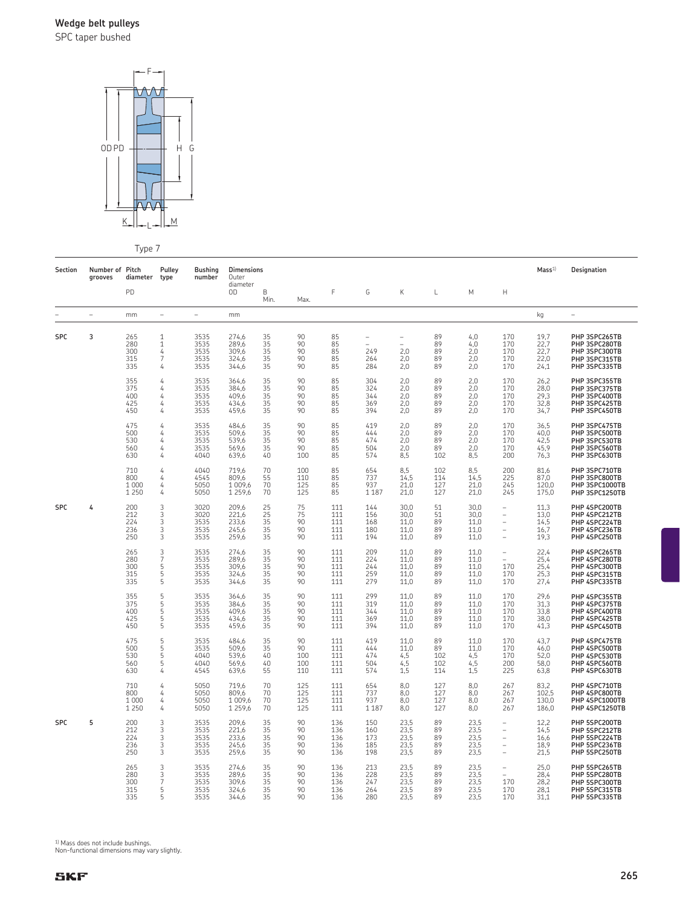SPC taper bushed



Type 7

| Section    | Number of Pitch<br>grooves | diameter                         | <b>Pulley</b><br>type                                  | <b>Bushing</b><br>number             | <b>Dimensions</b><br>Outer                |                                |                               |                                 |                                                    |                                      |                               |                                      |                                                  | Mass <sup>1</sup>                    | Designation                                                                       |
|------------|----------------------------|----------------------------------|--------------------------------------------------------|--------------------------------------|-------------------------------------------|--------------------------------|-------------------------------|---------------------------------|----------------------------------------------------|--------------------------------------|-------------------------------|--------------------------------------|--------------------------------------------------|--------------------------------------|-----------------------------------------------------------------------------------|
|            |                            | PD                               |                                                        |                                      | diameter<br>OD                            | B<br>Min.                      | Max.                          | F                               | G                                                  | К                                    | L                             | M                                    | $\mathsf{H}$                                     |                                      |                                                                                   |
|            | $\overline{\phantom{a}}$   | mm                               | $\overline{\phantom{0}}$                               | $\overline{\phantom{m}}$             | mm                                        |                                |                               |                                 |                                                    |                                      |                               |                                      |                                                  | kg                                   | ÷,                                                                                |
| <b>SPC</b> | 3                          | 265<br>280<br>300<br>315<br>335  | $\mathbf 1$<br>$\mathbf 1$<br>4<br>$\overline{7}$<br>4 | 3535<br>3535<br>3535<br>3535<br>3535 | 274,6<br>289,6<br>309,6<br>324,6<br>344,6 | 35<br>35<br>35<br>35<br>35     | 90<br>90<br>90<br>90<br>90    | 85<br>85<br>85<br>85<br>85      | $\overline{\phantom{0}}$<br>÷<br>249<br>264<br>284 | L<br>÷<br>2,0<br>2,0<br>2,0          | 89<br>89<br>89<br>89<br>89    | 4,0<br>4,0<br>2,0<br>2,0<br>2,0      | 170<br>170<br>170<br>170<br>170                  | 19,7<br>22,7<br>22,7<br>22,0<br>24,1 | PHP 3SPC265TB<br>PHP 3SPC280TB<br>PHP 3SPC300TB<br>PHP 3SPC315TB<br>PHP 3SPC335TB |
|            |                            | 355<br>375<br>400<br>425<br>450  | 4<br>4<br>4<br>4<br>4                                  | 3535<br>3535<br>3535<br>3535<br>3535 | 364,6<br>384,6<br>409,6<br>434,6<br>459,6 | 35<br>35<br>35<br>35<br>35     | 90<br>90<br>90<br>90<br>90    | 85<br>85<br>85<br>85<br>85      | 304<br>324<br>344<br>369<br>394                    | 2,0<br>2,0<br>2,0<br>2,0<br>2,0      | 89<br>89<br>89<br>89<br>89    | 2,0<br>2,0<br>2,0<br>2,0<br>2,0      | 170<br>170<br>170<br>170<br>170                  | 26.2<br>28,0<br>29,3<br>32,8<br>34,7 | PHP 3SPC355TB<br>PHP 3SPC375TB<br>PHP 3SPC400TB<br>PHP 3SPC425TB<br>PHP 3SPC450TB |
|            |                            | 475<br>500<br>530<br>560<br>630  | 4<br>4<br>4<br>4<br>4                                  | 3535<br>3535<br>3535<br>3535<br>4040 | 484,6<br>509,6<br>539,6<br>569,6<br>639,6 | 35<br>35<br>35<br>35<br>40     | 90<br>90<br>90<br>90<br>100   | 85<br>85<br>85<br>85<br>85      | 419<br>444<br>474<br>504<br>574                    | 2,0<br>2,0<br>2,0<br>2,0<br>8,5      | 89<br>89<br>89<br>89<br>102   | 2,0<br>2,0<br>2,0<br>2,0<br>8,5      | 170<br>170<br>170<br>170<br>200                  | 36,5<br>40,0<br>42,5<br>45,9<br>76,3 | PHP 3SPC475TB<br>PHP 3SPC500TB<br>PHP 3SPC530TB<br>PHP 3SPC560TB<br>PHP 3SPC630TB |
|            |                            | 710<br>800<br>1 0 0 0<br>1 2 5 0 | 4<br>4<br>4<br>4                                       | 4040<br>4545<br>5050<br>5050         | 719,6<br>809,6<br>1 009,6<br>1 259,6      | 70<br>55<br>70<br>70           | 100<br>110<br>125<br>125      | 85<br>85<br>85<br>85            | 654<br>737<br>937<br>1 1 8 7                       | 8,5<br>14,5<br>21,0<br>21,0          | 102<br>114<br>127<br>127      | 8,5<br>14,5<br>21,0<br>21,0          | 200<br>225<br>245<br>245                         | 81,6<br>87,0<br>120,0<br>175,0       | PHP 3SPC710TB<br>PHP 3SPC800TB<br>PHP 3SPC1000TB<br>PHP 3SPC1250TB                |
| <b>SPC</b> | 4                          | 200<br>212<br>224<br>236<br>250  | 3<br>3<br>3<br>3<br>3                                  | 3020<br>3020<br>3535<br>3535<br>3535 | 209,6<br>221,6<br>233,6<br>245,6<br>259,6 | 25<br>25<br>35<br>35<br>35     | 75<br>75<br>90<br>90<br>90    | 111<br>111<br>111<br>111<br>111 | 144<br>156<br>168<br>180<br>194                    | 30,0<br>30,0<br>11,0<br>11,0<br>11,0 | 51<br>51<br>89<br>89<br>89    | 30,0<br>30,0<br>11.0<br>11,0<br>11,0 | ÷<br>Ĭ.<br>Ĭ.<br>Ĭ.<br>Ĭ.                        | 11,3<br>13,0<br>14,5<br>16,7<br>19,3 | PHP 4SPC200TB<br>PHP 4SPC212TB<br>PHP 4SPC224TB<br>PHP 4SPC236TB<br>PHP 4SPC250TB |
|            |                            | 265<br>280<br>300<br>315<br>335  | $\frac{3}{7}$<br>5<br>5<br>5                           | 3535<br>3535<br>3535<br>3535<br>3535 | 274,6<br>289,6<br>309,6<br>324.6<br>344,6 | $35$<br>$35$<br>35<br>35<br>35 | 90<br>90<br>90<br>90<br>90    | 111<br>111<br>111<br>111<br>111 | 209<br>224<br>244<br>259<br>279                    | 11,0<br>11.0<br>11.0<br>11.0<br>11,0 | 89<br>89<br>89<br>89<br>89    | 11,0<br>11,0<br>11,0<br>11.0<br>11,0 | $\qquad \qquad -$<br>170<br>170<br>170           | 22,4<br>25,4<br>25,4<br>25,3<br>27,4 | PHP 4SPC265TB<br>PHP 4SPC280TB<br>PHP 4SPC300TB<br>PHP 4SPC315TB<br>PHP 4SPC335TB |
|            |                            | 355<br>375<br>400<br>425<br>450  | 5<br>5<br>5<br>5<br>5                                  | 3535<br>3535<br>3535<br>3535<br>3535 | 364,6<br>384,6<br>409,6<br>434,6<br>459,6 | 35<br>35<br>35<br>35<br>35     | 90<br>90<br>90<br>90<br>90    | 111<br>111<br>111<br>111<br>111 | 299<br>319<br>344<br>369<br>394                    | 11,0<br>11,0<br>11,0<br>11,0<br>11,0 | 89<br>89<br>89<br>89<br>89    | 11,0<br>11,0<br>11,0<br>11,0<br>11,0 | 170<br>170<br>170<br>170<br>170                  | 29,6<br>31,3<br>33,8<br>38,0<br>41,3 | PHP 4SPC355TB<br>PHP 4SPC375TB<br>PHP 4SPC400TB<br>PHP 4SPC425TB<br>PHP 4SPC450TB |
|            |                            | 475<br>500<br>530<br>560<br>630  | 5<br>5<br>5<br>5<br>4                                  | 3535<br>3535<br>4040<br>4040<br>4545 | 484,6<br>509,6<br>539,6<br>569,6<br>639,6 | 35<br>35<br>40<br>40<br>55     | 90<br>90<br>100<br>100<br>110 | 111<br>111<br>111<br>111<br>111 | 419<br>444<br>474<br>504<br>574                    | 11,0<br>11,0<br>4,5<br>4,5<br>1,5    | 89<br>89<br>102<br>102<br>114 | 11,0<br>11,0<br>4,5<br>4,5<br>1,5    | 170<br>170<br>170<br>200<br>225                  | 43,7<br>46,0<br>52,0<br>58,0<br>63,8 | PHP 4SPC475TB<br>PHP 4SPC500TB<br>PHP 4SPC530TB<br>PHP 4SPC560TB<br>PHP 4SPC630TB |
|            |                            | 710<br>800<br>1 0 0 0<br>1 2 5 0 | 4<br>4<br>4<br>4                                       | 5050<br>5050<br>5050<br>5050         | 719,6<br>809,6<br>1 009.6<br>1 2 5 9 . 6  | 70<br>70<br>70<br>70           | 125<br>125<br>125<br>125      | 111<br>111<br>111<br>111        | 654<br>737<br>937<br>1 1 8 7                       | 8,0<br>8,0<br>8,0<br>8.0             | 127<br>127<br>127<br>127      | 8,0<br>8,0<br>8.0<br>8.0             | 267<br>267<br>267<br>267                         | 83,2<br>102,5<br>130.0<br>186,0      | PHP 4SPC710TB<br>PHP 4SPC800TB<br>PHP 4SPC1000TB<br>PHP 4SPC1250TB                |
| <b>SPC</b> | 5                          | 200<br>212<br>224<br>236<br>250  | 3<br>3<br>3<br>3<br>3                                  | 3535<br>3535<br>3535<br>3535<br>3535 | 209,6<br>221,6<br>233,6<br>245,6<br>259,6 | 35<br>35<br>35<br>35<br>35     | 90<br>90<br>90<br>90<br>90    | 136<br>136<br>136<br>136<br>136 | 150<br>160<br>173<br>185<br>198                    | 23,5<br>23,5<br>23,5<br>23,5<br>23,5 | 89<br>89<br>89<br>89<br>89    | 23,5<br>23,5<br>23,5<br>23,5<br>23,5 | $\overline{\phantom{0}}$<br>L,<br>L,<br>L,<br>L, | 12,2<br>14,5<br>16,6<br>18,9<br>21,5 | PHP 5SPC200TB<br>PHP 5SPC212TB<br>PHP 5SPC224TB<br>PHP 5SPC236TB<br>PHP 5SPC250TB |
|            |                            | 265<br>280<br>300<br>315<br>335  | 3<br>3<br>7<br>5<br>5                                  | 3535<br>3535<br>3535<br>3535<br>3535 | 274,6<br>289,6<br>309,6<br>324,6<br>344,6 | 35<br>35<br>35<br>35<br>35     | 90<br>90<br>90<br>90<br>90    | 136<br>136<br>136<br>136<br>136 | 213<br>228<br>247<br>264<br>280                    | 23,5<br>23,5<br>23,5<br>23,5<br>23,5 | 89<br>89<br>89<br>89<br>89    | 23,5<br>23,5<br>23,5<br>23,5<br>23,5 | $\overline{\phantom{0}}$<br>170<br>170<br>170    | 25,0<br>28,4<br>28,2<br>28,1<br>31,1 | PHP 5SPC265TB<br>PHP 5SPC280TB<br>PHP 5SPC300TB<br>PHP 5SPC315TB<br>PHP 5SPC335TB |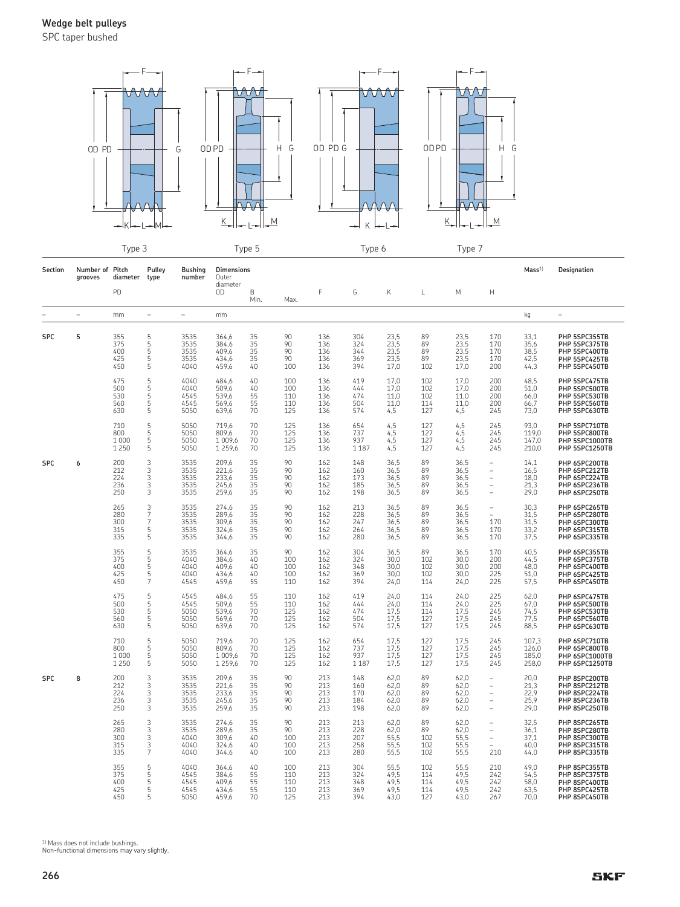SPC taper bushed



|            |                            | エッレー                             | $\tilde{\phantom{a}}$                           |                                      |                                           | i y pu u                   |                                 |                                 | i y pullo                       |                                                 |                                 | リソドー                                 |                                                                                                    |                                      |                                                                                   |
|------------|----------------------------|----------------------------------|-------------------------------------------------|--------------------------------------|-------------------------------------------|----------------------------|---------------------------------|---------------------------------|---------------------------------|-------------------------------------------------|---------------------------------|--------------------------------------|----------------------------------------------------------------------------------------------------|--------------------------------------|-----------------------------------------------------------------------------------|
| Section    | Number of Pitch<br>grooves | diameter                         | Pulley<br>type                                  | <b>Bushing</b><br>number             | <b>Dimensions</b><br>Outer<br>diameter    |                            |                                 |                                 |                                 |                                                 |                                 |                                      |                                                                                                    | Mass <sup>1</sup>                    | Designation                                                                       |
|            |                            | PD                               |                                                 |                                      | 0D                                        | B<br>Min.                  | Max.                            | F                               | G                               | Κ                                               | L                               | М                                    | $\mathsf{H}$                                                                                       |                                      |                                                                                   |
|            | $\overline{\phantom{0}}$   | mm                               | $\equiv$                                        | $\overline{a}$                       | mm                                        |                            |                                 |                                 |                                 |                                                 |                                 |                                      |                                                                                                    | kg                                   |                                                                                   |
| <b>SPC</b> | 5                          | 355<br>375<br>400<br>425<br>450  | 55555                                           | 3535<br>3535<br>3535<br>3535<br>4040 | 364,6<br>384,6<br>409,6<br>434,6<br>459,6 | 35<br>35<br>35<br>35<br>40 | 90<br>90<br>90<br>90<br>100     | 136<br>136<br>136<br>136<br>136 | 304<br>324<br>344<br>369<br>394 | $23,5$<br>$23,5$<br>$\frac{23,5}{23,5}$<br>17,0 | 89<br>89<br>89<br>89<br>102     | 23,5<br>23,5<br>23,5<br>23,5<br>17,0 | 170<br>170<br>170<br>170<br>200                                                                    | 33,1<br>35,6<br>38,5<br>42,5<br>44,3 | PHP 5SPC355TB<br>PHP 5SPC375TB<br>PHP 5SPC400TB<br>PHP 5SPC425TB<br>PHP 5SPC450TB |
|            |                            | 475<br>500<br>530<br>560<br>630  | 5<br>5<br>5<br>5<br>5                           | 4040<br>4040<br>4545<br>4545<br>5050 | 484,6<br>509,6<br>539,6<br>569,6<br>639,6 | 40<br>40<br>55<br>55<br>70 | 100<br>100<br>110<br>110<br>125 | 136<br>136<br>136<br>136<br>136 | 419<br>444<br>474<br>504<br>574 | 17,0<br>17,0<br>11,0<br>11,0<br>4,5             | 102<br>102<br>102<br>114<br>127 | 17,0<br>17,0<br>11,0<br>11,0<br>4,5  | 200<br>200<br>200<br>200<br>245                                                                    | 48,5<br>51,0<br>66,0<br>66,7<br>73,0 | PHP 5SPC475TB<br>PHP 5SPC500TB<br>PHP 5SPC530TB<br>PHP 5SPC560TB<br>PHP 5SPC630TB |
|            |                            | 710<br>800<br>1 0 0 0<br>1 2 5 0 | 5<br>5<br>$\frac{5}{5}$                         | 5050<br>5050<br>5050<br>5050         | 719,6<br>809,6<br>1 009,6<br>1 2 5 9, 6   | 70<br>70<br>70<br>70       | 125<br>125<br>125<br>125        | 136<br>136<br>136<br>136        | 654<br>737<br>937<br>1 1 8 7    | $4,5$<br>$4,5$<br>4,5<br>4,5                    | 127<br>127<br>127<br>127        | 4,5<br>4,5<br>4,5<br>4,5             | 245<br>245<br>245<br>245                                                                           | 93,0<br>119,0<br>147,0<br>210,0      | PHP 5SPC710TB<br>PHP 5SPC800TB<br>PHP 5SPC1000TB<br>PHP 5SPC1250TB                |
| <b>SPC</b> | 6                          | 200<br>212<br>224<br>236<br>250  | 3<br>3<br>3<br>$\overline{3}$<br>$\overline{3}$ | 3535<br>3535<br>3535<br>3535<br>3535 | 209,6<br>221,6<br>233,6<br>245,6<br>259,6 | 35<br>35<br>35<br>35<br>35 | 90<br>90<br>90<br>90<br>90      | 162<br>162<br>162<br>162<br>162 | 148<br>160<br>173<br>185<br>198 | 36,5<br>36,5<br>36,5<br>36,5<br>36,5            | 89<br>89<br>89<br>89<br>89      | 36,5<br>36,5<br>36,5<br>36,5<br>36,5 | $\overline{\phantom{a}}$<br>$\overline{a}$<br>$\overline{\phantom{a}}$<br>$\overline{\phantom{a}}$ | 14,1<br>16,5<br>18,0<br>21.3<br>29,0 | PHP 6SPC200TB<br>PHP 6SPC212TB<br>PHP 6SPC224TB<br>PHP 6SPC236TB<br>PHP 6SPC250TB |
|            |                            | 265<br>280<br>300<br>315<br>335  | $\frac{3}{7}$<br>$\overline{7}$<br>5<br>5       | 3535<br>3535<br>3535<br>3535<br>3535 | 274,6<br>289,6<br>309,6<br>324,6<br>344,6 | 35<br>35<br>35<br>35<br>35 | 90<br>90<br>90<br>90<br>90      | 162<br>162<br>162<br>162<br>162 | 213<br>228<br>247<br>264<br>280 | 36,5<br>36,5<br>36,5<br>36,5<br>36,5            | 89<br>89<br>89<br>89<br>89      | 36,5<br>36,5<br>36,5<br>36,5<br>36,5 | $\overline{\phantom{m}}$<br>$\equiv$<br>170<br>170<br>170                                          | 30,3<br>31,5<br>31,5<br>33,2<br>37,5 | PHP 6SPC265TB<br>PHP 6SPC280TB<br>PHP 6SPC300TB<br>PHP 6SPC315TB<br>PHP 6SPC335TB |
|            |                            | 355<br>375<br>400<br>425<br>450  | $\frac{5}{5}$<br>5<br>5<br>$\overline{7}$       | 3535<br>4040<br>4040<br>4040<br>4545 | 364,6<br>384,6<br>409,6<br>434,6<br>459,6 | 35<br>40<br>40<br>40<br>55 | 90<br>100<br>100<br>100<br>110  | 162<br>162<br>162<br>162<br>162 | 304<br>324<br>348<br>369<br>394 | 36,5<br>30,0<br>30,0<br>30,0<br>24,0            | 89<br>102<br>102<br>102<br>114  | 36,5<br>30,0<br>30,0<br>30,0<br>24,0 | 170<br>200<br>200<br>225<br>225                                                                    | 40,5<br>44,5<br>48,0<br>51,0<br>57,5 | PHP 6SPC355TB<br>PHP 6SPC375TB<br>PHP 6SPC400TB<br>PHP 6SPC425TB<br>PHP 6SPC450TB |
|            |                            | 475<br>500<br>530<br>560<br>630  | 5<br>5<br>5<br>5<br>5                           | 4545<br>4545<br>5050<br>5050<br>5050 | 484,6<br>509,6<br>539,6<br>569,6<br>639,6 | 55<br>55<br>70<br>70<br>70 | 110<br>110<br>125<br>125<br>125 | 162<br>162<br>162<br>162<br>162 | 419<br>444<br>474<br>504<br>574 | 24,0<br>24,0<br>17,5<br>17,5<br>17,5            | 114<br>114<br>114<br>127<br>127 | 24,0<br>24,0<br>17,5<br>17,5<br>17,5 | 225<br>225<br>245<br>245<br>245                                                                    | 62,0<br>67,0<br>74,5<br>77,5<br>88,5 | PHP 6SPC475TB<br>PHP 6SPC500TB<br>PHP 6SPC530TB<br>PHP 6SPC560TB<br>PHP 6SPC630TB |
|            |                            | 710<br>800<br>1 0 0 0<br>1 2 5 0 | $\frac{5}{5}$<br>$\frac{5}{5}$                  | 5050<br>5050<br>5050<br>5050         | 719,6<br>809,6<br>1 009,6<br>1 2 5 9 6    | 70<br>70<br>70<br>70       | 125<br>125<br>125<br>125        | 162<br>162<br>162<br>162        | 654<br>737<br>937<br>1 1 8 7    | 17,5<br>17,5<br>17,5<br>17,5                    | 127<br>127<br>127<br>127        | 17,5<br>17,5<br>17,5<br>17,5         | 245<br>245<br>245<br>245                                                                           | 107,3<br>126,0<br>185,0<br>258,0     | PHP 6SPC710TB<br>PHP 6SPC800TB<br>PHP 6SPC1000TB<br>PHP 6SPC1250TB                |
| <b>SPC</b> | 8                          | 200<br>212<br>224<br>236<br>250  | 3<br>3<br>$\overline{3}$<br>.<br>З              | 3535<br>3535<br>3535<br>3535<br>3535 | 209,6<br>221,6<br>233,6<br>245,6<br>259,6 | 35<br>35<br>35<br>35<br>35 | 90<br>90<br>90<br>90<br>90      | 213<br>213<br>213<br>213<br>213 | 148<br>160<br>170<br>184<br>198 | 62,0<br>62.0<br>62,0<br>62,0<br>62,0            | 89<br>89<br>89<br>89<br>89      | 62,0<br>62,0<br>62,0<br>62,0<br>62,0 | $\overline{\phantom{m}}$<br>$\qquad \qquad -$<br>$\qquad \qquad -$<br>$\equiv$                     | 20,0<br>21.3<br>22,9<br>25,9<br>29,0 | PHP 8SPC200TB<br>PHP 8SPC212TB<br>PHP 8SPC224TB<br>PHP 8SPC236TB<br>PHP 8SPC250TB |
|            |                            | 265<br>280<br>300<br>315<br>335  | 3<br>3<br>3<br>$\frac{3}{7}$                    | 3535<br>3535<br>4040<br>4040<br>4040 | 274,6<br>289,6<br>309,6<br>324,6<br>344,6 | 35<br>35<br>40<br>40<br>40 | 90<br>90<br>100<br>100<br>100   | 213<br>213<br>213<br>213<br>213 | 213<br>228<br>207<br>258<br>280 | 62,0<br>62,0<br>55,5<br>55,5<br>55,5            | 89<br>89<br>102<br>102<br>102   | 62,0<br>62,0<br>55,5<br>55,5<br>55,5 | $\overline{\phantom{a}}$<br>$\qquad \qquad -$<br>$\overline{\phantom{m}}$<br>210                   | 32,5<br>36,1<br>37,1<br>40,0<br>44,0 | PHP 8SPC265TB<br>PHP 8SPC280TB<br>PHP 8SPC300TB<br>PHP 8SPC315TB<br>PHP 8SPC335TB |
|            |                            | 355<br>375<br>400<br>425<br>450  | 5<br>$\frac{5}{5}$<br>5<br>5                    | 4040<br>4545<br>4545<br>4545<br>5050 | 364,6<br>384,6<br>409,6<br>434,6<br>459,6 | 40<br>55<br>55<br>55<br>70 | 100<br>110<br>110<br>110<br>125 | 213<br>213<br>213<br>213<br>213 | 304<br>324<br>348<br>369<br>394 | 55,5<br>49,5<br>49,5<br>49,5<br>43,0            | 102<br>114<br>114<br>114<br>127 | 55,5<br>49,5<br>49,5<br>49,5<br>43,0 | 210<br>242<br>242<br>242<br>267                                                                    | 49,0<br>54,5<br>58,0<br>63,5<br>70,0 | PHP 8SPC355TB<br>PHP 8SPC375TB<br>PHP 8SPC400TB<br>PHP 8SPC425TB<br>PHP 8SPC450TB |